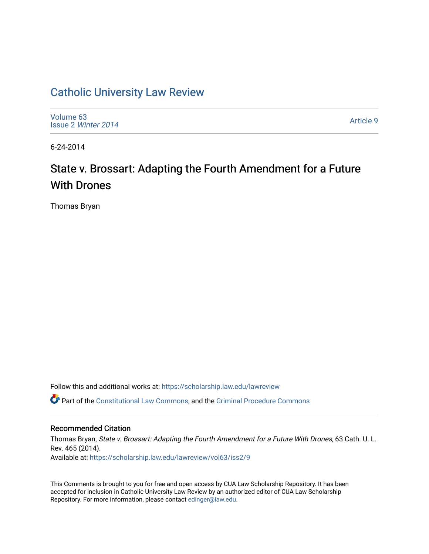# [Catholic University Law Review](https://scholarship.law.edu/lawreview)

[Volume 63](https://scholarship.law.edu/lawreview/vol63) Issue 2 [Winter 2014](https://scholarship.law.edu/lawreview/vol63/iss2) 

[Article 9](https://scholarship.law.edu/lawreview/vol63/iss2/9) 

6-24-2014

# State v. Brossart: Adapting the Fourth Amendment for a Future With Drones

Thomas Bryan

Follow this and additional works at: [https://scholarship.law.edu/lawreview](https://scholarship.law.edu/lawreview?utm_source=scholarship.law.edu%2Flawreview%2Fvol63%2Fiss2%2F9&utm_medium=PDF&utm_campaign=PDFCoverPages)

Part of the [Constitutional Law Commons,](http://network.bepress.com/hgg/discipline/589?utm_source=scholarship.law.edu%2Flawreview%2Fvol63%2Fiss2%2F9&utm_medium=PDF&utm_campaign=PDFCoverPages) and the [Criminal Procedure Commons](http://network.bepress.com/hgg/discipline/1073?utm_source=scholarship.law.edu%2Flawreview%2Fvol63%2Fiss2%2F9&utm_medium=PDF&utm_campaign=PDFCoverPages)

# Recommended Citation

Thomas Bryan, State v. Brossart: Adapting the Fourth Amendment for a Future With Drones, 63 Cath. U. L. Rev. 465 (2014). Available at: [https://scholarship.law.edu/lawreview/vol63/iss2/9](https://scholarship.law.edu/lawreview/vol63/iss2/9?utm_source=scholarship.law.edu%2Flawreview%2Fvol63%2Fiss2%2F9&utm_medium=PDF&utm_campaign=PDFCoverPages)

This Comments is brought to you for free and open access by CUA Law Scholarship Repository. It has been accepted for inclusion in Catholic University Law Review by an authorized editor of CUA Law Scholarship Repository. For more information, please contact [edinger@law.edu.](mailto:edinger@law.edu)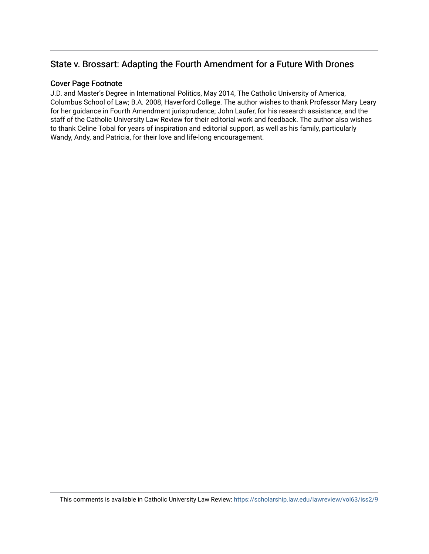# State v. Brossart: Adapting the Fourth Amendment for a Future With Drones

# Cover Page Footnote

J.D. and Master's Degree in International Politics, May 2014, The Catholic University of America, Columbus School of Law; B.A. 2008, Haverford College. The author wishes to thank Professor Mary Leary for her guidance in Fourth Amendment jurisprudence; John Laufer, for his research assistance; and the staff of the Catholic University Law Review for their editorial work and feedback. The author also wishes to thank Celine Tobal for years of inspiration and editorial support, as well as his family, particularly Wandy, Andy, and Patricia, for their love and life-long encouragement.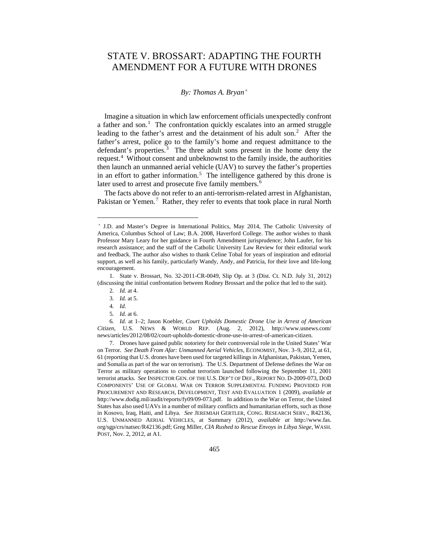# STATE V. BROSSART: ADAPTING THE FOURTH AMENDMENT FOR A FUTURE WITH DRONES

#### *By: Thomas A. Bryan[+](#page-2-0)*

Imagine a situation in which law enforcement officials unexpectedly confront a father and son.<sup>[1](#page-2-1)</sup> The confrontation quickly escalates into an armed struggle leading to the father's arrest and the detainment of his adult son.<sup>[2](#page-2-2)</sup> After the father's arrest, police go to the family's home and request admittance to the defendant's properties.<sup>[3](#page-2-3)</sup> The three adult sons present in the home deny the request.<sup>[4](#page-2-4)</sup> Without consent and unbeknownst to the family inside, the authorities then launch an unmanned aerial vehicle (UAV) to survey the father's properties in an effort to gather information.<sup>[5](#page-2-5)</sup> The intelligence gathered by this drone is later used to arrest and prosecute five family members.<sup>[6](#page-2-6)</sup>

The facts above do not refer to an anti-terrorism-related arrest in Afghanistan, Pakistan or Yemen.<sup>[7](#page-2-7)</sup> Rather, they refer to events that took place in rural North

—

5*. Id.* at 6.

<span id="page-2-0"></span><sup>+</sup> J.D. and Master's Degree in International Politics, May 2014, The Catholic University of America, Columbus School of Law; B.A. 2008, Haverford College. The author wishes to thank Professor Mary Leary for her guidance in Fourth Amendment jurisprudence; John Laufer, for his research assistance; and the staff of the Catholic University Law Review for their editorial work and feedback. The author also wishes to thank Celine Tobal for years of inspiration and editorial support, as well as his family, particularly Wandy, Andy, and Patricia, for their love and life-long encouragement.

<span id="page-2-3"></span><span id="page-2-2"></span><span id="page-2-1"></span><sup>1.</sup> State v. Brossart, No. 32-2011-CR-0049, Slip Op. at 3 (Dist. Ct. N.D. July 31, 2012) (discussing the initial confrontation between Rodney Brossart and the police that led to the suit).

<sup>2</sup>*. Id.* at 4.

<sup>3</sup>*. Id.* at 5.

<sup>4</sup>*. Id.*

<span id="page-2-6"></span><span id="page-2-5"></span><span id="page-2-4"></span><sup>6</sup>*. Id.* at 1–2; Jason Koebler, *Court Upholds Domestic Drone Use in Arrest of American Citizen*, U.S. NEWS & WORLD REP. (Aug. 2, 2012), http://www.usnews.com/ news/articles/2012/08/02/court-upholds-domestic-drone-use-in-arrest-of-american-citizen.

<span id="page-2-7"></span><sup>7.</sup> Drones have gained public notoriety for their controversial role in the United States' War on Terror. *See Death From Afar: Unmanned Aerial Vehicles*, ECONOMIST, Nov. 3–9, 2012, at 61, 61 (reporting that U.S. drones have been used for targeted killings in Afghanistan, Pakistan, Yemen, and Somalia as part of the war on terrorism). The U.S. Department of Defense defines the War on Terror as military operations to combat terrorism launched following the September 11, 2001 terrorist attacks. *See* INSPECTOR GEN. OF THE U.S. DEP'T OF DEF., REPORT NO. D-2009-073, DOD COMPONENTS' USE OF GLOBAL WAR ON TERROR SUPPLEMENTAL FUNDING PROVIDED FOR PROCUREMENT AND RESEARCH, DEVELOPMENT, TEST AND EVALUATION 1 (2009), *available at* http://www.dodig.mil/audit/reports/fy09/09-073.pdf. In addition to the War on Terror, the United States has also used UAVs in a number of military conflicts and humanitarian efforts, such as those in Kosovo, Iraq, Haiti, and Libya. *See* JEREMIAH GERTLER, CONG. RESEARCH SERV., R42136, U.S. UNMANNED AERIAL VEHICLES, at Summary (2012), *available at* http://www.fas. org/sgp/crs/natsec/R42136.pdf; Greg Miller, *CIA Rushed to Rescue Envoys in Libya Siege*, WASH. POST, Nov. 2, 2012, at A1.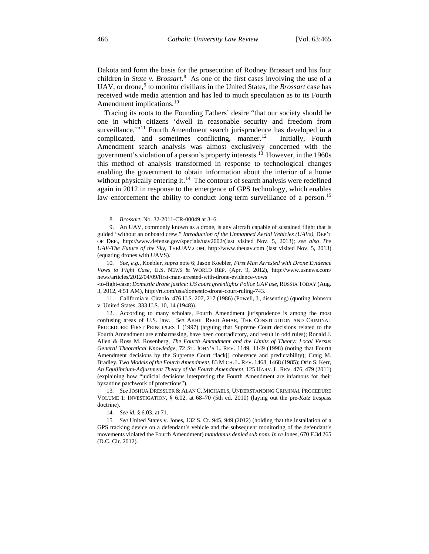Dakota and form the basis for the prosecution of Rodney Brossart and his four children in *State v. Brossart*.<sup>[8](#page-3-0)</sup> As one of the first cases involving the use of a UAV, or drone,<sup>[9](#page-3-1)</sup> to monitor civilians in the United States, the *Brossart* case has received wide media attention and has led to much speculation as to its Fourth Amendment implications.<sup>[10](#page-3-2)</sup>

Tracing its roots to the Founding Fathers' desire "that our society should be one in which citizens 'dwell in reasonable security and freedom from surveillance,"<sup>[11](#page-3-3)</sup> Fourth Amendment search jurisprudence has developed in a complicated, and sometimes conflicting, manner.<sup>12</sup> Initially, Fourth Amendment search analysis was almost exclusively concerned with the government's violation of a person's property interests.<sup>13</sup> However, in the 1960s this method of analysis transformed in response to technological changes enabling the government to obtain information about the interior of a home without physically entering it.<sup>14</sup> The contours of search analysis were redefined again in 2012 in response to the emergence of GPS technology, which enables law enforcement the ability to conduct long-term surveillance of a person.<sup>[15](#page-3-7)</sup>

-to-fight-case; *Domestic drone justice: US court greenlights Police UAV use*, RUSSIA TODAY (Aug. 3, 2012, 4:51 AM), http://rt.com/usa/domestic-drone-court-ruling-743.

<sup>8</sup>*. Brossart*, No. 32-2011-CR-00049 at 3–6.

<span id="page-3-1"></span><span id="page-3-0"></span><sup>9.</sup> An UAV, commonly known as a drone, is any aircraft capable of sustained flight that is guided "without an onboard crew." *Introduction of the Unmanned Aerial Vehicles (UAVs)*, DEP'T OF DEF., http://www.defense.gov/specials/uav2002/(last visited Nov. 5, 2013); *see also The UAV-The Future of the Sky*, THEUAV.COM, http://www.theuav.com (last visited Nov. 5, 2013) (equating drones with UAVS).

<span id="page-3-2"></span><sup>10</sup>*. See, e.g.*, Koebler, *supra* note 6; Jason Koebler, *First Man Arrested with Drone Evidence Vows to Fight Case*, U.S. NEWS & WORLD REP. (Apr. 9, 2012), http://www.usnews.com/ news/articles/2012/04/09/first-man-arrested-with-drone-evidence-vows

<span id="page-3-3"></span><sup>11.</sup> California v. Ciraolo, 476 U.S. 207, 217 (1986) (Powell, J., dissenting) (quoting Johnson v. United States, 333 U.S. 10, 14 (1948)).

<span id="page-3-4"></span><sup>12.</sup> According to many scholars, Fourth Amendment jurisprudence is among the most confusing areas of U.S. law. *See* AKHIL REED AMAR, THE CONSTITUTION AND CRIMINAL PROCEDURE: FIRST PRINCIPLES 1 (1997) (arguing that Supreme Court decisions related to the Fourth Amendment are embarrassing, have been contradictory, and result in odd rules); Ronald J. Allen & Ross M. Rosenberg, *The Fourth Amendment and the Limits of Theory: Local Versus General Theoretical Knowledge*, 72 ST. JOHN'S L. REV. 1149, 1149 (1998) (noting that Fourth Amendment decisions by the Supreme Court "lack[] coherence and predictability); Craig M. Bradley, *Two Models of the Fourth Amendment*, 83 MICH. L.REV. 1468, 1468 (1985); Orin S. Kerr, *An Equilibrium-Adjustment Theory of the Fourth Amendment*, 125 HARV. L. REV. 476, 479 (2011) (explaining how "judicial decisions interpreting the Fourth Amendment are infamous for their byzantine patchwork of protections").

<span id="page-3-5"></span><sup>13</sup>*. See* JOSHUA DRESSLER & ALAN C. MICHAELS, UNDERSTANDING CRIMINAL PROCEDURE VOLUME 1: INVESTIGATION, § 6.02, at 68–70 (5th ed. 2010) (laying out the pre-*Katz* trespass doctrine).

<sup>14</sup>*. See id.* § 6.03, at 71.

<span id="page-3-7"></span><span id="page-3-6"></span><sup>15</sup>*. See* United States v. Jones, 132 S. Ct. 945, 949 (2012) (holding that the installation of a GPS tracking device on a defendant's vehicle and the subsequent monitoring of the defendant's movements violated the Fourth Amendment) *mandamus denied sub nom. In re* Jones, 670 F.3d 265 (D.C. Cir. 2012).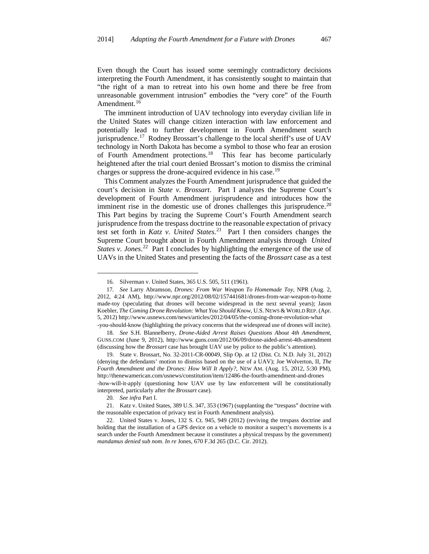Even though the Court has issued some seemingly contradictory decisions interpreting the Fourth Amendment, it has consistently sought to maintain that "the right of a man to retreat into his own home and there be free from unreasonable government intrusion" embodies the "very core" of the Fourth Amendment.<sup>[16](#page-4-0)</sup>

The imminent introduction of UAV technology into everyday civilian life in the United States will change citizen interaction with law enforcement and potentially lead to further development in Fourth Amendment search jurisprudence.<sup>[17](#page-4-1)</sup> Rodney Brossart's challenge to the local sheriff's use of UAV technology in North Dakota has become a symbol to those who fear an erosion of Fourth Amendment protections.[18](#page-4-2) This fear has become particularly heightened after the trial court denied Brossart's motion to dismiss the criminal charges or suppress the drone-acquired evidence in his case.<sup>[19](#page-4-3)</sup>

This Comment analyzes the Fourth Amendment jurisprudence that guided the court's decision in *State v. Brossart*. Part I analyzes the Supreme Court's development of Fourth Amendment jurisprudence and introduces how the imminent rise in the domestic use of drones challenges this jurisprudence.<sup>[20](#page-4-4)</sup> This Part begins by tracing the Supreme Court's Fourth Amendment search jurisprudence from the trespass doctrine to the reasonable expectation of privacy test set forth in *Katz v. United States*. [21](#page-4-5) Part I then considers changes the Supreme Court brought about in Fourth Amendment analysis through *United*  States v. Jones.<sup>[22](#page-4-6)</sup> Part I concludes by highlighting the emergence of the use of UAVs in the United States and presenting the facts of the *Brossart* case as a test

<sup>16.</sup> Silverman v. United States, 365 U.S. 505, 511 (1961).

<span id="page-4-1"></span><span id="page-4-0"></span><sup>17</sup>*. See* Larry Abramson, *Drones: From War Weapon To Homemade Toy*, NPR (Aug. 2, 2012, 4:24 AM), http://www.npr.org/2012/08/02/157441681/drones-from-war-weapon-to-home made-toy (speculating that drones will become widespread in the next several years); Jason Koebler, *The Coming Drone Revolution: What You Should Know*, U.S. NEWS & WORLD REP. (Apr. 5, 2012) http://www.usnews.com/news/articles/2012/04/05/the-coming-drone-revolution-what

<span id="page-4-2"></span><sup>-</sup>you-should-know (highlighting the privacy concerns that the widespread use of drones will incite). 18*. See* S.H. Blannelberry, *Drone-Aided Arrest Raises Questions About 4th Amendment*, GUNS.COM (June 9, 2012), http://www.guns.com/2012/06/09/drone-aided-arrest-4th-amendment (discussing how the *Brossart* case has brought UAV use by police to the public's attention).

<span id="page-4-3"></span><sup>19.</sup> State v. Brossart, No. 32-2011-CR-00049, Slip Op. at 12 (Dist. Ct. N.D. July 31, 2012) (denying the defendants' motion to dismiss based on the use of a UAV); Joe Wolverton, II, *The Fourth Amendment and the Drones: How Will It Apply?*, NEW AM. (Aug. 15, 2012, 5:30 PM), http://thenewamerican.com/usnews/constitution/item/12486-the-fourth-amendment-and-drones -how-will-it-apply (questioning how UAV use by law enforcement will be constitutionally interpreted, particularly after the *Brossart* case).

<sup>20</sup>*. See infra* Part I.

<span id="page-4-5"></span><span id="page-4-4"></span><sup>21.</sup> Katz v. United States, 389 U.S. 347, 353 (1967) (supplanting the "trespass" doctrine with the reasonable expectation of privacy test in Fourth Amendment analysis).

<span id="page-4-6"></span><sup>22.</sup> United States v. Jones, 132 S. Ct. 945, 949 (2012) (reviving the trespass doctrine and holding that the installation of a GPS device on a vehicle to monitor a suspect's movements is a search under the Fourth Amendment because it constitutes a physical trespass by the government) *mandamus denied sub nom. In re* Jones, 670 F.3d 265 (D.C. Cir. 2012).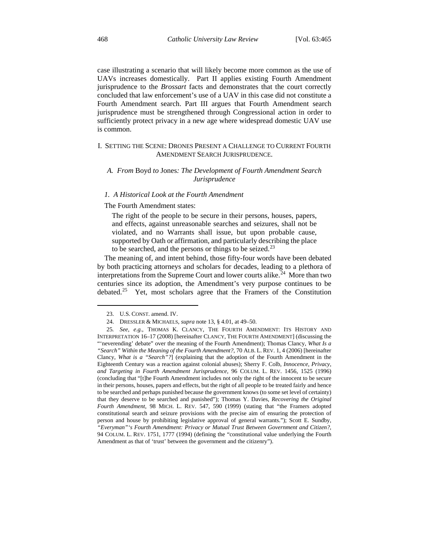case illustrating a scenario that will likely become more common as the use of UAVs increases domestically. Part II applies existing Fourth Amendment jurisprudence to the *Brossart* facts and demonstrates that the court correctly concluded that law enforcement's use of a UAV in this case did not constitute a Fourth Amendment search. Part III argues that Fourth Amendment search jurisprudence must be strengthened through Congressional action in order to sufficiently protect privacy in a new age where widespread domestic UAV use is common.

### I. SETTING THE SCENE: DRONES PRESENT A CHALLENGE TO CURRENT FOURTH AMENDMENT SEARCH JURISPRUDENCE.

### *A. From* Boyd *to* Jones*: The Development of Fourth Amendment Search Jurisprudence*

#### *1. A Historical Look at the Fourth Amendment*

#### The Fourth Amendment states:

The right of the people to be secure in their persons, houses, papers, and effects, against unreasonable searches and seizures, shall not be violated, and no Warrants shall issue, but upon probable cause, supported by Oath or affirmation, and particularly describing the place to be searched, and the persons or things to be seized. $^{23}$  $^{23}$  $^{23}$ 

The meaning of, and intent behind, those fifty-four words have been debated by both practicing attorneys and scholars for decades, leading to a plethora of interpretations from the Supreme Court and lower courts alike.<sup>24</sup> More than two centuries since its adoption, the Amendment's very purpose continues to be debated.[25](#page-5-2) Yet, most scholars agree that the Framers of the Constitution

<sup>23.</sup> U.S. CONST. amend. IV.

<sup>24.</sup> DRESSLER & MICHAELS, *supra* note 13, § 4.01, at 49–50.

<span id="page-5-2"></span><span id="page-5-1"></span><span id="page-5-0"></span><sup>25</sup>*. See, e.g.*, THOMAS K. CLANCY, THE FOURTH AMENDMENT: ITS HISTORY AND INTERPRETATION 16–17 (2008) [hereinafter CLANCY, THE FOURTH AMENDMENT] (discussing the "'neverending' debate" over the meaning of the Fourth Amendment); Thomas Clancy, *What Is a "Search" Within the Meaning of the Fourth Amendment?*, 70 ALB. L. REV. 1, 4 (2006) [hereinafter Clancy, *What is a "Search"?*] (explaining that the adoption of the Fourth Amendment in the Eighteenth Century was a reaction against colonial abuses); Sherry F. Colb, *Innocence, Privacy, and Targeting in Fourth Amendment Jurisprudence*, 96 COLUM. L. REV. 1456, 1525 (1996) (concluding that "[t]he Fourth Amendment includes not only the right of the innocent to be secure in their persons, houses, papers and effects, but the right of all people to be treated fairly and hence to be searched and perhaps punished because the government knows (to some set level of certainty) that they deserve to be searched and punished"); Thomas Y. Davies, *Recovering the Original Fourth Amendment*, 98 MICH. L. REV. 547, 590 (1999) (stating that "the Framers adopted constitutional search and seizure provisions with the precise aim of ensuring the protection of person and house by prohibiting legislative approval of general warrants."); Scott E. Sundby, *"Everyman"'s Fourth Amendment: Privacy or Mutual Trust Between Government and Citizen?*, 94 COLUM. L. REV. 1751, 1777 (1994) (defining the "constitutional value underlying the Fourth Amendment as that of 'trust' between the government and the citizenry").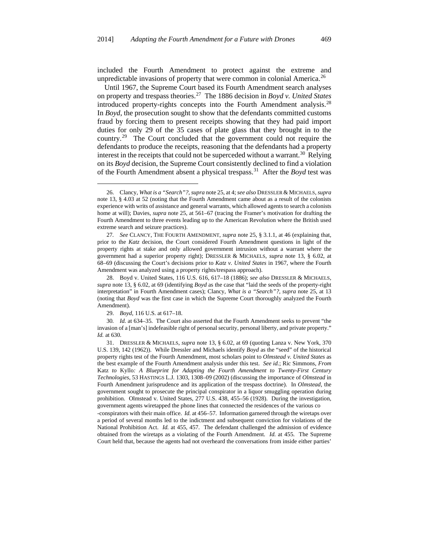included the Fourth Amendment to protect against the extreme and unpredictable invasions of property that were common in colonial America.<sup>[26](#page-6-0)</sup>

Until 1967, the Supreme Court based its Fourth Amendment search analyses on property and trespass theories.[27](#page-6-1) The 1886 decision in *Boyd v. United States* introduced property-rights concepts into the Fourth Amendment analysis.<sup>[28](#page-6-2)</sup> In *Boyd*, the prosecution sought to show that the defendants committed customs fraud by forcing them to present receipts showing that they had paid import duties for only 29 of the 35 cases of plate glass that they brought in to the country.<sup>[29](#page-6-3)</sup> The Court concluded that the government could not require the defendants to produce the receipts, reasoning that the defendants had a property interest in the receipts that could not be superceded without a warrant.<sup>30</sup> Relying on its *Boyd* decision, the Supreme Court consistently declined to find a violation of the Fourth Amendment absent a physical trespass.[31](#page-6-5) After the *Boyd* test was

<span id="page-6-0"></span><sup>26.</sup> Clancy, *What is a "Search"?*, *supra* note 25, at 4; *see also* DRESSLER & MICHAELS, *supra* note 13, § 4.03 at 52 (noting that the Fourth Amendment came about as a result of the colonists experience with writs of assistance and general warrants, which allowed agents to search a colonists home at will); Davies, *supra* note 25, at 561–67 (tracing the Framer's motivation for drafting the Fourth Amendment to three events leading up to the American Revolution where the British used extreme search and seizure practices).

<span id="page-6-1"></span><sup>27</sup>*. See* CLANCY, THE FOURTH AMENDMENT, *supra* note 25, § 3.1.1, at 46 (explaining that, prior to the *Katz* decision, the Court considered Fourth Amendment questions in light of the property rights at stake and only allowed government intrusion without a warrant where the government had a superior property right); DRESSLER & MICHAELS, *supra* note 13, § 6.02, at 68–69 (discussing the Court's decisions prior to *Katz v. United States* in 1967, where the Fourth Amendment was analyzed using a property rights/trespass approach).

<span id="page-6-2"></span><sup>28.</sup> Boyd v. United States, 116 U.S. 616, 617–18 (1886); *see also* DRESSLER & MICHAELS, *supra* note 13, § 6.02, at 69 (identifying *Boyd* as the case that "laid the seeds of the property-right interpretation" in Fourth Amendment cases); Clancy, *What is a "Search"?*, *supra* note 25, at 13 (noting that *Boyd* was the first case in which the Supreme Court thoroughly analyzed the Fourth Amendment).

<sup>29.</sup> *Boyd*, 116 U.S. at 617–18.

<span id="page-6-4"></span><span id="page-6-3"></span><sup>30</sup>*. Id.* at 634–35. The Court also asserted that the Fourth Amendment seeks to prevent "the invasion of a [man's] indefeasible right of personal security, personal liberty, and private property." *Id.* at 630.

<span id="page-6-5"></span><sup>31.</sup> DRESSLER & MICHAELS, *supra* note 13, § 6.02, at 69 (quoting Lanza v. New York, 370 U.S. 139, 142 (1962)). While Dressler and Michaels identify *Boyd* as the "seed" of the historical property rights test of the Fourth Amendment, most scholars point to *Olmstead v. United States* as the best example of the Fourth Amendment analysis under this test. *See id.*; Ric Simmons, *From*  Katz *to* Kyllo*: A Blueprint for Adapting the Fourth Amendment to Twenty-First Century Technologies*, 53 HASTINGS L.J. 1303, 1308–09 (2002) (discussing the importance of *Olmstead* in Fourth Amendment jurisprudence and its application of the trespass doctrine). In *Olmstead*, the government sought to prosecute the principal conspirator in a liquor smuggling operation during prohibition. Olmstead v. United States, 277 U.S. 438, 455–56 (1928). During the investigation, government agents wiretapped the phone lines that connected the residences of the various co

<sup>-</sup>conspirators with their main office. *Id.* at 456–57. Information garnered through the wiretaps over a period of several months led to the indictment and subsequent conviction for violations of the National Prohibition Act. *Id.* at 455, 457. The defendant challenged the admission of evidence obtained from the wiretaps as a violating of the Fourth Amendment. *Id.* at 455. The Supreme Court held that, because the agents had not overheard the conversations from inside either parties'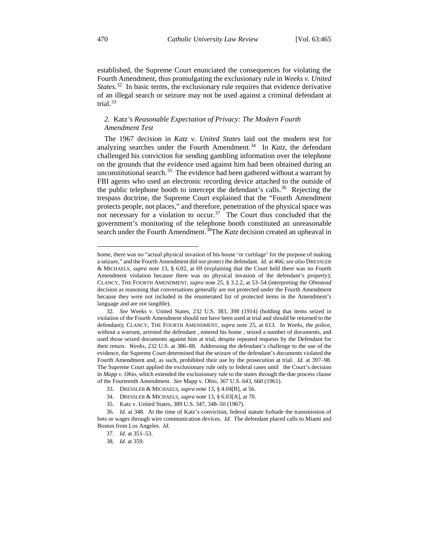established, the Supreme Court enunciated the consequences for violating the Fourth Amendment, thus promulgating the exclusionary rule in *Weeks v. United*  States.<sup>[32](#page-7-0)</sup> In basic terms, the exclusionary rule requires that evidence derivative of an illegal search or seizure may not be used against a criminal defendant at trial.<sup>[33](#page-7-1)</sup>

## *2.* Katz*'s Reasonable Expectation of Privacy: The Modern Fourth Amendment Test*

The 1967 decision in *Katz v. United States* laid out the modern test for analyzing searches under the Fourth Amendment.<sup>[34](#page-7-2)</sup> In *Katz*, the defendant challenged his conviction for sending gambling information over the telephone on the grounds that the evidence used against him had been obtained during an unconstitutional search. $35$  The evidence had been gathered without a warrant by FBI agents who used an electronic recording device attached to the outside of the public telephone booth to intercept the defendant's calls.<sup>36</sup> Rejecting the trespass doctrine, the Supreme Court explained that the "Fourth Amendment protects people, not places," and therefore, penetration of the physical space was not necessary for a violation to occur.<sup>[37](#page-7-5)</sup> The Court thus concluded that the government's monitoring of the telephone booth constituted an unreasonable search under the Fourth Amendment.<sup>[38](#page-7-6)</sup>The *Katz* decision created an upheaval in

home, there was no "actual physical invasion of his house 'or curtilage' for the purpose of making a seizure," and the Fourth Amendment did not protect the defendant. *Id.* at 466; *see also* DRESSLER & MICHAELS, *supra* note 13, § 6.02, at 69 (explaining that the Court held there was no Fourth Amendment violation because there was no physical invasion of the defendant's property); CLANCY, THE FOURTH AMENDMENT, *supra* note 25, § 3.2.2, at 53–54 (interpreting the *Olmstead* decision as reasoning that conversations generally are not protected under the Fourth Amendment because they were not included in the enumerated list of protected items in the Amendment's language and are not tangible). —

<span id="page-7-0"></span><sup>32</sup>*. See* Weeks v. United States, 232 U.S. 383, 398 (1914) (holding that items seized in violation of the Fourth Amendment should not have been used at trial and should be returned to the defendant); CLANCY, THE FOURTH AMENDMENT, *supra* note 25, at 613. In *Weeks*, the police, without a warrant, arrested the defendant , entered his home , seized a number of documents, and used those seized documents against him at trial, despite repeated requests by the Defendant for their return. *Weeks*, 232 U.S. at 386–88. Addressing the defendant's challenge to the use of the evidence, the Supreme Court determined that the seizure of the defendant's documents violated the Fourth Amendment and, as such, prohibited their use by the prosecution at trial. *Id.* at 397–98. The Supreme Court applied the exclusionary rule only to federal cases until the Court's decision in *Mapp v. Ohio*, which extended the exclusionary rule to the states through the due process clause of the Fourteenth Amendment. *See* Mapp v. Ohio, 367 U.S. 643, 660 (1961).

<sup>33.</sup> DRESSLER & MICHAELS, *supra* note 13, § 4.04[B], at 56.

<sup>34.</sup> DRESSLER & MICHAELS, *supra* note 13, § 6.03[A], at 70.

<sup>35.</sup> Katz v. United States, 389 U.S. 347, 348–50 (1967).

<span id="page-7-6"></span><span id="page-7-5"></span><span id="page-7-4"></span><span id="page-7-3"></span><span id="page-7-2"></span><span id="page-7-1"></span><sup>36</sup>*. Id.* at 348. At the time of Katz's conviction, federal statute forbade the transmission of bets or wages through wire communication devices. *Id.* The defendant placed calls to Miami and Boston from Los Angeles. *Id.*

<sup>37</sup>*. Id.* at 351–53.

<sup>38</sup>*. Id.* at 359.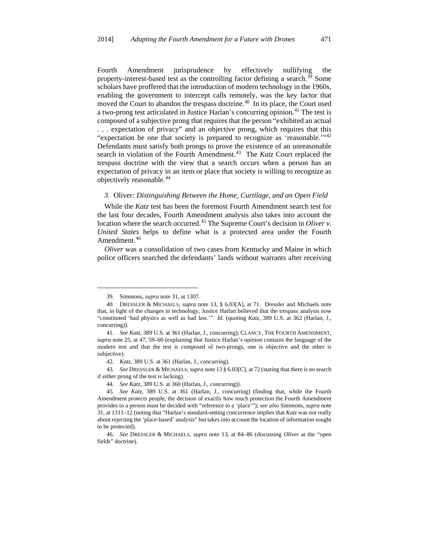Fourth Amendment jurisprudence by effectively nullifying the property-interest-based test as the controlling factor defining a search.<sup>[39](#page-8-0)</sup> Some scholars have proffered that the introduction of modern technology in the 1960s, enabling the government to intercept calls remotely, was the key factor that moved the Court to abandon the trespass doctrine.<sup>[40](#page-8-1)</sup> In its place, the Court used a two-prong test articulated in Justice Harlan's concurring opinion.<sup>[41](#page-8-2)</sup> The test is composed of a subjective prong that requires that the person "exhibited an actual . . . expectation of privacy" and an objective prong, which requires that this "expectation be one that society is prepared to recognize as 'reasonable."<sup>[42](#page-8-3)</sup> Defendants must satisfy both prongs to prove the existence of an unreasonable search in violation of the Fourth Amendment.<sup>[43](#page-8-4)</sup> The *Katz* Court replaced the trespass doctrine with the view that a search occurs when a person has an expectation of privacy in an item or place that society is willing to recognize as objectively reasonable.[44](#page-8-5)

#### *3.* Oliver*: Distinguishing Between the Home, Curtilage, and an Open Field*

While the *Katz* test has been the foremost Fourth Amendment search test for the last four decades, Fourth Amendment analysis also takes into account the location where the search occurred.[45](#page-8-6) The Supreme Court's decision in *Oliver v. United States* helps to define what is a protected area under the Fourth Amendment.<sup>[46](#page-8-7)</sup>

*Oliver* was a consolidation of two cases from Kentucky and Maine in which police officers searched the defendants' lands without warrants after receiving

—<br>—

<span id="page-8-4"></span><span id="page-8-3"></span>43*. See* DRESSLER & MICHAELS, *supra* note 13 § 6.03[C], at 72 (stating that there is no search if either prong of the test is lacking).

<sup>39.</sup> Simmons, *supra* note 31, at 1307.

<span id="page-8-1"></span><span id="page-8-0"></span><sup>40.</sup> DRESSLER & MICHAELS, *supra* note 13, § 6.03[A], at 71. Dressler and Michaels note that, in light of the changes in technology, Justice Harlan believed that the trespass analysis now "constituted 'bad physics as well as bad law.'" *Id.* (quoting *Katz*, 389 U.S. at 362 (Harlan, J., concurring)).

<span id="page-8-2"></span><sup>41</sup>*. See Katz*, 389 U.S. at 361 (Harlan, J., concurring); CLANCY, THE FOURTH AMENDMENT, *supra* note 25, at 47, 59–60 (explaining that Justice Harlan's opinion contains the language of the modern test and that the test is composed of two-prongs, one is objective and the other is subjective).

<sup>42</sup>*. Katz*, 389 U.S. at 361 (Harlan, J., concurring).

<sup>44</sup>*. See Katz*, 389 U.S. at 360 (Harlan, J., concurring)).

<span id="page-8-6"></span><span id="page-8-5"></span><sup>45</sup>*. See Katz*, 389 U.S. at 361 (Harlan, J., concurring) (finding that, while the Fourth Amendment protects people, the decision of exactly how much protection the Fourth Amendment provides to a person must be decided with "reference to a 'place'"); *see also* Simmons, *supra* note 31, at 1311–12 (noting that "Harlan's standard-setting concurrence implies that *Katz* was not really about rejecting the 'place-based' analysis" but takes into account the location of information sought to be protected).

<span id="page-8-7"></span><sup>46</sup>*. See* DRESSLER & MICHAELS, *supra* note 13, at 84–86 (discussing *Oliver* at the "open fields" doctrine).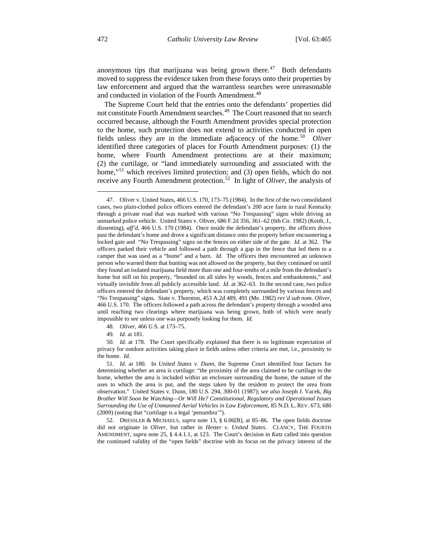anonymous tips that marijuana was being grown there. $47$  Both defendants moved to suppress the evidence taken from these forays onto their properties by law enforcement and argued that the warrantless searches were unreasonable and conducted in violation of the Fourth Amendment.<sup>[48](#page-9-1)</sup>

The Supreme Court held that the entries onto the defendants' properties did not constitute Fourth Amendment searches.<sup>49</sup> The Court reasoned that no search occurred because, although the Fourth Amendment provides special protection to the home, such protection does not extend to activities conducted in open fields unless they are in the immediate adjacency of the home.<sup>[50](#page-9-3)</sup> *Oliver* identified three categories of places for Fourth Amendment purposes: (1) the home, where Fourth Amendment protections are at their maximum; (2) the curtilage, or "land immediately surrounding and associated with the home,"<sup>[51](#page-9-4)</sup> which receives limited protection; and (3) open fields, which do not receive any Fourth Amendment protection.[52](#page-9-5) In light of *Oliver*, the analysis of

48*. Oliver*, 466 U.S. at 173–75.

49*. Id.* at 181.

<span id="page-9-3"></span><span id="page-9-2"></span><span id="page-9-1"></span>50*. Id.* at 178. The Court specifically explained that there is no legitimate expectation of privacy for outdoor activities taking place in fields unless other criteria are met, i.e., proximity to the home. *Id.*

<span id="page-9-5"></span>52. DRESSLER & MICHAELS, *supra* note 13, § 6.06[B], at 85–86. The open fields doctrine did not originate in *Oliver*, but rather in *Hester v. United States*. CLANCY, THE FOURTH AMENDMENT, *supra* note 25, § 4.4.1.1, at 123. The Court's decision in *Katz* called into question the continued validity of the "open fields" doctrine with its focus on the privacy interest of the

<span id="page-9-0"></span><sup>47.</sup> Oliver v. United States, 466 U.S. 170, 173–75 (1984). In the first of the two consolidated cases, two plain-clothed police officers entered the defendant's 200 acre farm in rural Kentucky through a private road that was marked with various "No Trespassing" signs while driving an unmarked police vehicle. United States v. Oliver, 686 F.2d 356, 361–62 (6th Cir. 1982) (Keith, J., dissenting), *aff'd*, 466 U.S. 170 (1984). Once inside the defendant's property, the officers drove past the defendant's home and drove a significant distance onto the property before encountering a locked gate and "No Trespassing" signs on the fences on either side of the gate. *Id.* at 362. The officers parked their vehicle and followed a path through a gap in the fence that led them to a camper that was used as a "home" and a barn. *Id.* The officers then encountered an unknown person who warned them that hunting was not allowed on the property, but they continued on until they found an isolated marijuana field more than one and four-tenths of a mile from the defendant's home but still on his property, "bounded on all sides by woods, fences and embankments," and virtually invisible from all publicly accessible land. *Id.* at 362–63. In the second case, two police officers entered the defendant's property, which was completely surrounded by various fences and "No Trespassing" signs. State v. Thornton, 453 A.2d 489, 491 (Me. 1982) *rev'd sub nom. Oliver*, 466 U.S. 170. The officers followed a path across the defendant's property through a wooded area until reaching two clearings where marijuana was being grown, both of which were nearly impossible to see unless one was purposely looking for them. *Id.*

<span id="page-9-4"></span><sup>51</sup>*. Id.* at 180. In *United States v. Dunn*, the Supreme Court identified four factors for determining whether an area is curtilage: "the proximity of the area claimed to be curtilage to the home, whether the area is included within an enclosure surrounding the home, the nature of the uses to which the area is put, and the steps taken by the resident to protect the area from observation." United States v. Dunn, 180 U.S. 294, 300-01 (1987); *see also* Joseph J. Vacek, *Big Brother Will Soon be Watching—Or Will He? Constitutional, Regulatory and Operational Issues Surrounding the Use of Unmanned Aerial Vehicles in Law Enforcement*, 85 N.D. L. REV. 673, 680 (2009) (noting that "curtilage is a legal 'penumbra'").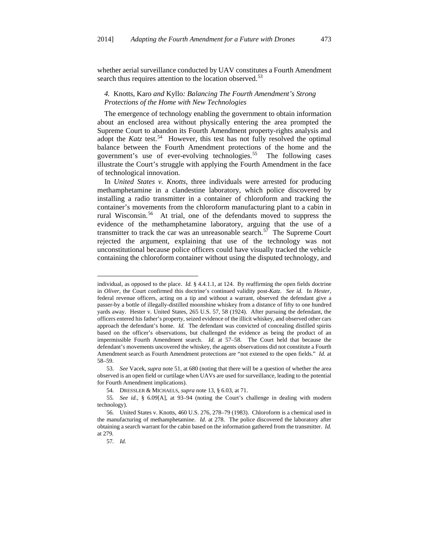whether aerial surveillance conducted by UAV constitutes a Fourth Amendment search thus requires attention to the location observed.<sup>[53](#page-10-0)</sup>

#### *4.* Knotts*,* Karo *and* Kyllo*: Balancing The Fourth Amendment's Strong Protections of the Home with New Technologies*

The emergence of technology enabling the government to obtain information about an enclosed area without physically entering the area prompted the Supreme Court to abandon its Fourth Amendment property-rights analysis and adopt the *Katz* test.<sup>54</sup> However, this test has not fully resolved the optimal balance between the Fourth Amendment protections of the home and the government's use of ever-evolving technologies.<sup>[55](#page-10-2)</sup> The following cases illustrate the Court's struggle with applying the Fourth Amendment in the face of technological innovation.

In *United States v. Knotts*, three individuals were arrested for producing methamphetamine in a clandestine laboratory, which police discovered by installing a radio transmitter in a container of chloroform and tracking the container's movements from the chloroform manufacturing plant to a cabin in rural Wisconsin.[56](#page-10-3) At trial, one of the defendants moved to suppress the evidence of the methamphetamine laboratory, arguing that the use of a transmitter to track the car was an unreasonable search.<sup>[57](#page-10-4)</sup> The Supreme Court rejected the argument, explaining that use of the technology was not unconstitutional because police officers could have visually tracked the vehicle containing the chloroform container without using the disputed technology, and

individual, as opposed to the place. *Id.* § 4.4.1.1, at 124. By reaffirming the open fields doctrine in *Oliver*, the Court confirmed this doctrine's continued validity post-*Katz*. *See id.* In *Hester*, federal revenue officers, acting on a tip and without a warrant, observed the defendant give a passer-by a bottle of illegally-distilled moonshine whiskey from a distance of fifty to one hundred yards away. Hester v. United States, 265 U.S. 57, 58 (1924). After pursuing the defendant, the officers entered his father's property, seized evidence of the illicit whiskey, and observed other cars approach the defendant's home. *Id.* The defendant was convicted of concealing distilled spirits based on the officer's observations, but challenged the evidence as being the product of an impermissible Fourth Amendment search. *Id.* at 57–58. The Court held that because the defendant's movements uncovered the whiskey, the agents observations did not constitute a Fourth Amendment search as Fourth Amendment protections are "not extened to the open fields." *Id.* at 58–59. —

<span id="page-10-0"></span><sup>53</sup>*. See* Vacek, *supra* note 51, at 680 (noting that there will be a question of whether the area observed is an open field or curtilage when UAVs are used for surveillance, leading to the potential for Fourth Amendment implications).

<sup>54.</sup> DRESSLER & MICHAELS, *supra* note 13, § 6.03, at 71.

<span id="page-10-2"></span><span id="page-10-1"></span><sup>55</sup>*. See id.*, § 6.09[A], at 93–94 (noting the Court's challenge in dealing with modern technology).

<span id="page-10-4"></span><span id="page-10-3"></span><sup>56.</sup> United States v. Knotts, 460 U.S. 276, 278–79 (1983). Chloroform is a chemical used in the manufacturing of methamphetamine. *Id.* at 278. The police discovered the laboratory after obtaining a search warrant for the cabin based on the information gathered from the transmitter. *Id.* at 279.

<sup>57</sup>*. Id.*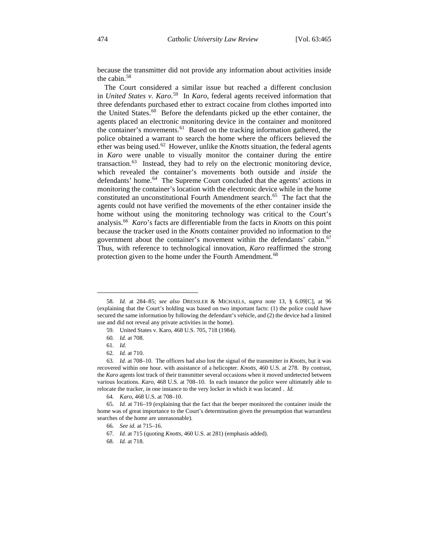because the transmitter did not provide any information about activities inside the cabin.<sup>[58](#page-11-0)</sup>

The Court considered a similar issue but reached a different conclusion in *United States v. Karo*. [59](#page-11-1) In *Karo*, federal agents received information that three defendants purchased ether to extract cocaine from clothes imported into the United States.<sup>60</sup> Before the defendants picked up the ether container, the agents placed an electronic monitoring device in the container and monitored the container's movements.<sup>[61](#page-11-3)</sup> Based on the tracking information gathered, the police obtained a warrant to search the home where the officers believed the ether was being used.<sup>[62](#page-11-4)</sup> However, unlike the *Knotts* situation, the federal agents in *Karo* were unable to visually monitor the container during the entire transaction. $63$  Instead, they had to rely on the electronic monitoring device, which revealed the container's movements both outside and *inside* the defendants' home.<sup>64</sup> The Supreme Court concluded that the agents' actions in monitoring the container's location with the electronic device while in the home constituted an unconstitutional Fourth Amendment search.<sup>[65](#page-11-7)</sup> The fact that the agents could not have verified the movements of the ether container inside the home without using the monitoring technology was critical to the Court's analysis.[66](#page-11-8) *Karo*'s facts are differentiable from the facts in *Knotts* on this point because the tracker used in the *Knotts* container provided no information to the government about the container's movement within the defendants' cabin.<sup>[67](#page-11-9)</sup> Thus, with reference to technological innovation, *Karo* reaffirmed the strong protection given to the home under the Fourth Amendment.<sup>[68](#page-11-10)</sup>

<span id="page-11-1"></span><span id="page-11-0"></span><sup>58</sup>*. Id.* at 284–85; *see also* DRESSLER & MICHAELS, *supra* note 13, § 6.09[C], at 96 (explaining that the Court's holding was based on two important facts: (1) the police could have secured the same information by following the defendant's vehicle, and (2) the device had a limited use and did not reveal any private activities in the home).

<sup>59.</sup> United States v. Karo, 468 U.S. 705, 718 (1984).

<sup>60</sup>*. Id.* at 708.

<sup>61</sup>*. Id.*

<sup>62</sup>*. Id.* at 710.

<span id="page-11-5"></span><span id="page-11-4"></span><span id="page-11-3"></span><span id="page-11-2"></span><sup>63</sup>*. Id.* at 708–10. The officers had also lost the signal of the transmitter in *Knotts*, but it was recovered within one hour. with assistance of a helicopter. *Knotts*, 460 U.S. at 278. By contrast, the *Karo* agents lost track of their transmitter several occasions when it moved undetected between various locations. *Karo*, 468 U.S. at 708–10. In each instance the police were ultimately able to relocate the tracker, in one instance to the very locker in which it was located . *Id.*

<sup>64</sup>*. Karo*, 468 U.S. at 708–10.

<span id="page-11-10"></span><span id="page-11-9"></span><span id="page-11-8"></span><span id="page-11-7"></span><span id="page-11-6"></span><sup>65</sup>*. Id.* at 716–19 (explaining that the fact that the beeper monitored the container inside the home was of great importance to the Court's determination given the presumption that warrantless searches of the home are unreasonable).

<sup>66</sup>*. See id.* at 715–16.

<sup>67</sup>*. Id.* at 715 (quoting *Knotts*, 460 U.S. at 281) (emphasis added).

<sup>68</sup>*. Id.* at 718.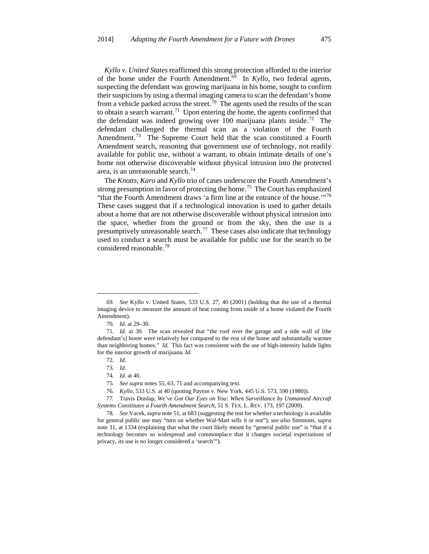*Kyllo v. United States* reaffirmed this strong protection afforded to the interior of the home under the Fourth Amendment.<sup>69</sup> In *Kyllo*, two federal agents, suspecting the defendant was growing marijuana in his home, sought to confirm their suspicions by using a thermal imaging camera to scan the defendant's home from a vehicle parked across the street.<sup>[70](#page-12-1)</sup> The agents used the results of the scan to obtain a search warrant.<sup>71</sup> Upon entering the home, the agents confirmed that the defendant was indeed growing over 100 marijuana plants inside.<sup>[72](#page-12-3)</sup> The defendant challenged the thermal scan as a violation of the Fourth Amendment.<sup>[73](#page-12-4)</sup> The Supreme Court held that the scan constituted a Fourth Amendment search, reasoning that government use of technology, not readily available for public use, without a warrant, to obtain intimate details of one's home not otherwise discoverable without physical intrusion into the protected area, is an unreasonable search. $74$ 

The *Knotts*, *Karo* and *Kyllo* trio of cases underscore the Fourth Amendment's strong presumption in favor of protecting the home.<sup>[75](#page-12-6)</sup> The Court has emphasized "that the Fourth Amendment draws 'a firm line at the entrance of the house."<sup>[76](#page-12-7)</sup> These cases suggest that if a technological innovation is used to gather details about a home that are not otherwise discoverable without physical intrusion into the space, whether from the ground or from the sky, then the use is a presumptively unreasonable search.<sup>[77](#page-12-8)</sup> These cases also indicate that technology used to conduct a search must be available for public use for the search to be considered reasonable.[78](#page-12-9)

<span id="page-12-0"></span><sup>69</sup>*. See* Kyllo v. United States, 533 U.S. 27, 40 (2001) (holding that the use of a thermal imaging device to measure the amount of heat coming from inside of a home violated the Fourth Amendment).

<sup>70</sup>*. Id.* at 29–30.

<span id="page-12-3"></span><span id="page-12-2"></span><span id="page-12-1"></span><sup>71</sup>*. Id.* at 30. The scan revealed that "the roof over the garage and a side wall of [the defendant's] home were relatively hot compared to the rest of the home and substantially warmer than neighboring homes." *Id.* This fact was consistent with the use of high-intensity halide lights for the interior growth of marijuana. *Id.*

<sup>72</sup>*. Id.*

<sup>73</sup>*. Id.*

<sup>74</sup>*. Id.* at 40.

<sup>75</sup>*. See supra* notes 55, 63, 71 and accompanying text.

<sup>76</sup>*. Kyllo*, 533 U.S. at 40 (quoting Payton v. New York, 445 U.S. 573, 590 (1980)).

<span id="page-12-8"></span><span id="page-12-7"></span><span id="page-12-6"></span><span id="page-12-5"></span><span id="page-12-4"></span><sup>77.</sup> Travis Dunlap, *We've Got Our Eyes on You: When Surveillance by Unmanned Aircraft Systems Constitutes a Fourth Amendment Search*, 51 S. TEX. L. REV. 173, 197 (2009).

<span id="page-12-9"></span><sup>78</sup>*. See* Vacek, *supra* note 51, at 683 (suggesting the test for whether a technology is available for general public use may "turn on whether Wal-Mart sells it or not"); *see also* Simmons, *supra* note 31, at 1334 (explaining that what the court likely meant by "general public use" is "that if a technology becomes so widespread and commonplace that it changes societal expectations of privacy, its use is no longer considered a 'search'").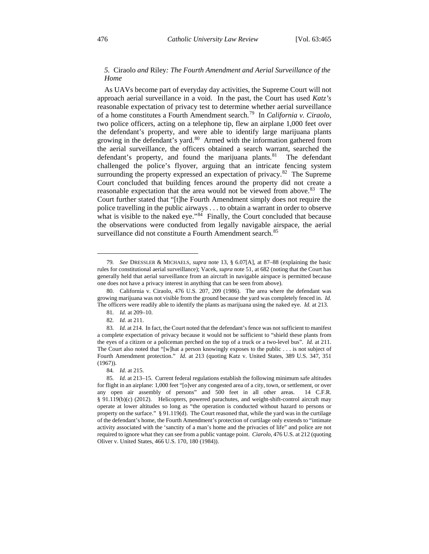### *5.* Ciraolo *and* Riley*: The Fourth Amendment and Aerial Surveillance of the Home*

As UAVs become part of everyday day activities, the Supreme Court will not approach aerial surveillance in a void. In the past, the Court has used *Katz's* reasonable expectation of privacy test to determine whether aerial surveillance of a home constitutes a Fourth Amendment search.[79](#page-13-0) In *California v. Ciraolo*, two police officers, acting on a telephone tip, flew an airplane 1,000 feet over the defendant's property, and were able to identify large marijuana plants growing in the defendant's yard.<sup>[80](#page-13-1)</sup> Armed with the information gathered from the aerial surveillance, the officers obtained a search warrant, searched the defendant's property, and found the marijuana plants.<sup>81</sup> The defendant challenged the police's flyover, arguing that an intricate fencing system surrounding the property expressed an expectation of privacy.<sup>[82](#page-13-3)</sup> The Supreme Court concluded that building fences around the property did not create a reasonable expectation that the area would not be viewed from above.<sup>83</sup> The Court further stated that "[t]he Fourth Amendment simply does not require the police travelling in the public airways . . . to obtain a warrant in order to observe what is visible to the naked eye."<sup>[84](#page-13-5)</sup> Finally, the Court concluded that because the observations were conducted from legally navigable airspace, the aerial surveillance did not constitute a Fourth Amendment search.<sup>[85](#page-13-6)</sup>

<span id="page-13-0"></span><sup>79</sup>*. See* DRESSLER & MICHAELS, *supra* note 13, § 6.07[A], at 87–88 (explaining the basic rules for constitutional aerial surveillance); Vacek, *supra* note 51, at 682 (noting that the Court has generally held that aerial surveillance from an aircraft in navigable airspace is permitted because one does not have a privacy interest in anything that can be seen from above).

<span id="page-13-1"></span><sup>80.</sup> California v. Ciraolo, 476 U.S. 207, 209 (1986). The area where the defendant was growing marijuana was not visible from the ground because the yard was completely fenced in. *Id.* The officers were readily able to identify the plants as marijuana using the naked eye. *Id.* at 213.

<sup>81</sup>*. Id.* at 209–10.

<sup>82</sup>*. Id.* at 211.

<span id="page-13-4"></span><span id="page-13-3"></span><span id="page-13-2"></span><sup>83</sup>*. Id.* at 214. In fact, the Court noted that the defendant's fence was not sufficient to manifest a complete expectation of privacy because it would not be sufficient to "shield these plants from the eyes of a citizen or a policeman perched on the top of a truck or a two-level bus". *Id.* at 211. The Court also noted that "[w]hat a person knowingly exposes to the public . . . is not subject of Fourth Amendment protection." *Id.* at 213 (quoting Katz v. United States, 389 U.S. 347, 351 (1967)).

<sup>84</sup>*. Id.* at 215.

<span id="page-13-6"></span><span id="page-13-5"></span><sup>85</sup>*. Id.* at 213–15. Current federal regulations establish the following minimum safe altitudes for flight in an airplane: 1,000 feet "[o]ver any congested area of a city, town, or settlement, or over any open air assembly of persons" and 500 feet in all other areas. 14 C.F.R. § 91.119(b)(c) (2012). Helicopters, powered parachutes, and weight-shift-control aircraft may operate at lower altitudes so long as "the operation is conducted without hazard to persons or property on the surface." § 91.119(d). The Court reasoned that, while the yard was in the curtilage of the defendant's home, the Fourth Amendment's protection of curtilage only extends to "intimate activity associated with the 'sanctity of a man's home and the privacies of life" and police are not required to ignore what they can see from a public vantage point. *Ciarolo*, 476 U.S. at 212 (quoting Oliver v. United States, 466 U.S. 170, 180 (1984)).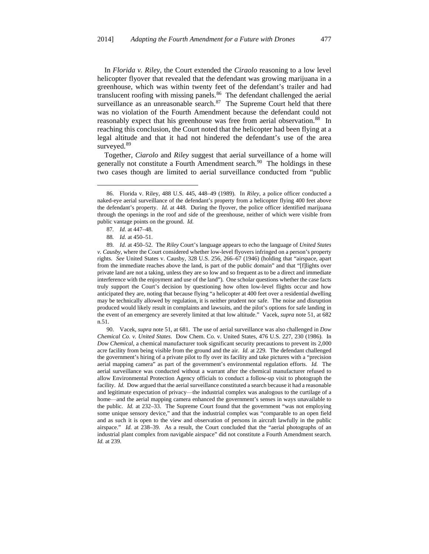In *Florida v. Riley*, the Court extended the *Ciraolo* reasoning to a low level helicopter flyover that revealed that the defendant was growing marijuana in a greenhouse, which was within twenty feet of the defendant's trailer and had translucent roofing with missing panels.<sup>[86](#page-14-0)</sup> The defendant challenged the aerial surveillance as an unreasonable search. $87$  The Supreme Court held that there was no violation of the Fourth Amendment because the defendant could not reasonably expect that his greenhouse was free from aerial observation.<sup>88</sup> In reaching this conclusion, the Court noted that the helicopter had been flying at a legal altitude and that it had not hindered the defendant's use of the area surveyed.<sup>[89](#page-14-3)</sup>

Together, *Ciarolo* and *Riley* suggest that aerial surveillance of a home will generally not constitute a Fourth Amendment search.<sup>[90](#page-14-4)</sup> The holdings in these two cases though are limited to aerial surveillance conducted from "public

—<br>—

<span id="page-14-4"></span>90. Vacek, *supra* note 51, at 681. The use of aerial surveillance was also challenged in *Dow Chemical Co. v. United States*. Dow Chem. Co. v. United States, 476 U.S. 227, 230 (1986). In *Dow Chemical*, a chemical manufacturer took significant security precautions to prevent its 2,000 acre facility from being visible from the ground and the air. *Id.* at 229. The defendant challenged the government's hiring of a private pilot to fly over its facility and take pictures with a "precision aerial mapping camera" as part of the government's environmental regulation efforts. *Id.* The aerial surveillance was conducted without a warrant after the chemical manufacturer refused to allow Environmental Protection Agency officials to conduct a follow-up visit to photograph the facility. *Id.* Dow argued that the aerial surveillance constituted a search because it had a reasonable and legitimate expectation of privacy—the industrial complex was analogous to the curtilage of a home—and the aerial mapping camera enhanced the government's senses in ways unavailable to the public. *Id.* at 232–33. The Supreme Court found that the government "was not employing some unique sensory device," and that the industrial complex was "comparable to an open field and as such it is open to the view and observation of persons in aircraft lawfully in the public airspace." *Id.* at 238–39. As a result, the Court concluded that the "aerial photographs of an industrial plant complex from navigable airspace" did not constitute a Fourth Amendment search. *Id.* at 239.

<span id="page-14-0"></span><sup>86.</sup> Florida v. Riley, 488 U.S. 445, 448–49 (1989). In *Riley*, a police officer conducted a naked-eye aerial surveillance of the defendant's property from a helicopter flying 400 feet above the defendant's property. *Id.* at 448. During the flyover, the police officer identified marijuana through the openings in the roof and side of the greenhouse, neither of which were visible from public vantage points on the ground. *Id.*

<sup>87</sup>*. Id.* at 447–48.

<sup>88</sup>*. Id.* at 450–51.

<span id="page-14-3"></span><span id="page-14-2"></span><span id="page-14-1"></span><sup>89</sup>*. Id.* at 450–52. The *Riley* Court's language appears to echo the language of *United States v. Causby*, where the Court considered whether low-level flyovers infringed on a person's property rights. *See* United States v. Causby, 328 U.S. 256, 266–67 (1946) (holding that "airspace, apart from the immediate reaches above the land, is part of the public domain" and that "[f]lights over private land are not a taking, unless they are so low and so frequent as to be a direct and immediate interference with the enjoyment and use of the land"). One scholar questions whether the case facts truly support the Court's decision by questioning how often low-level flights occur and how anticipated they are, noting that because flying "a helicopter at 400 feet over a residential dwelling may be technically allowed by regulation, it is neither prudent nor safe. The noise and disruption produced would likely result in complaints and lawsuits, and the pilot's options for safe landing in the event of an emergency are severely limited at that low altitude." Vacek, *supra* note 51, at 682 n.51.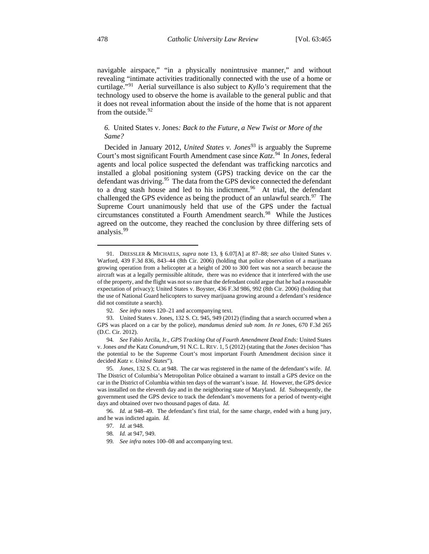navigable airspace," "in a physically nonintrusive manner," and without revealing "intimate activities traditionally connected with the use of a home or curtilage."[91](#page-15-0) Aerial surveillance is also subject to *Kyllo's* requirement that the technology used to observe the home is available to the general public and that it does not reveal information about the inside of the home that is not apparent from the outside.<sup>[92](#page-15-1)</sup>

### *6.* United States v. Jones*: Back to the Future, a New Twist or More of the Same?*

Decided in January 2012, *United States v. Jones*<sup>[93](#page-15-2)</sup> is arguably the Supreme Court's most significant Fourth Amendment case since *Katz*. [94](#page-15-3) In *Jones*, federal agents and local police suspected the defendant was trafficking narcotics and installed a global positioning system (GPS) tracking device on the car the defendant was driving.<sup>[95](#page-15-4)</sup> The data from the GPS device connected the defendant to a drug stash house and led to his indictment.<sup>[96](#page-15-5)</sup> At trial, the defendant challenged the GPS evidence as being the product of an unlawful search.  $97$  The Supreme Court unanimously held that use of the GPS under the factual circumstances constituted a Fourth Amendment search.<sup>[98](#page-15-7)</sup> While the Justices agreed on the outcome, they reached the conclusion by three differing sets of analysis.[99](#page-15-8)

<span id="page-15-0"></span><sup>91.</sup> DRESSLER & MICHAELS, *supra* note 13, § 6.07[A] at 87–88; *see also* United States v. Warford, 439 F.3d 836, 843–44 (8th Cir. 2006) (holding that police observation of a marijuana growing operation from a helicopter at a height of 200 to 300 feet was not a search because the aircraft was at a legally permissible altitude, there was no evidence that it interfered with the use of the property, and the flight was not so rare that the defendant could argue that he had a reasonable expectation of privacy); United States v. Boyster, 436 F.3d 986, 992 (8th Cir. 2006) (holding that the use of National Guard helicopters to survey marijuana growing around a defendant's residence did not constitute a search).

<sup>92</sup>*. See infra* notes 120–21 and accompanying text.

<span id="page-15-2"></span><span id="page-15-1"></span><sup>93.</sup> United States v. Jones, 132 S. Ct. 945, 949 (2012) (finding that a search occurred when a GPS was placed on a car by the police), *mandamus denied sub nom. In re* Jones, 670 F.3d 265 (D.C. Cir. 2012).

<span id="page-15-3"></span><sup>94</sup>*. See* Fabio Arcila, Jr., *GPS Tracking Out of Fourth Amendment Dead Ends:* United States v. Jones *and the* Katz *Conundrum*, 91 N.C. L. REV. 1, 5 (2012) (stating that the *Jones* decision "has the potential to be the Supreme Court's most important Fourth Amendment decision since it decided *Katz v. United States*").

<span id="page-15-4"></span><sup>95</sup>*. Jones*, 132 S. Ct. at 948. The car was registered in the name of the defendant's wife. *Id.* The District of Columbia's Metropolitan Police obtained a warrant to install a GPS device on the car in the District of Columbia within ten days of the warrant's issue. *Id.* However, the GPS device was installed on the eleventh day and in the neighboring state of Maryland. *Id.* Subsequently, the government used the GPS device to track the defendant's movements for a period of twenty-eight days and obtained over two thousand pages of data. *Id.*

<span id="page-15-8"></span><span id="page-15-7"></span><span id="page-15-6"></span><span id="page-15-5"></span><sup>96</sup>*. Id.* at 948–49. The defendant's first trial, for the same charge, ended with a hung jury, and he was indicted again. *Id.*

<sup>97</sup>*. Id.* at 948.

<sup>98</sup>*. Id.* at 947, 949.

<sup>99</sup>*. See infra* notes 100–08 and accompanying text.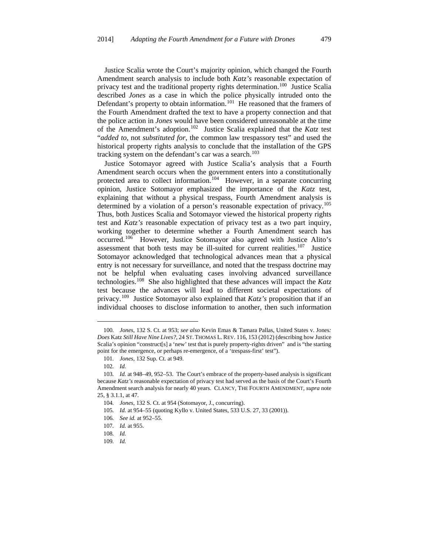Justice Scalia wrote the Court's majority opinion, which changed the Fourth Amendment search analysis to include both *Katz's* reasonable expectation of privacy test and the traditional property rights determination.<sup>100</sup> Justice Scalia described *Jones* as a case in which the police physically intruded onto the Defendant's property to obtain information.<sup>101</sup> He reasoned that the framers of the Fourth Amendment drafted the text to have a property connection and that the police action in *Jones* would have been considered unreasonable at the time of the Amendment's adoption.[102](#page-16-2) Justice Scalia explained that the *Katz* test "*added to*, not *substituted for*, the common law trespassory test" and used the historical property rights analysis to conclude that the installation of the GPS tracking system on the defendant's car was a search.<sup>[103](#page-16-3)</sup>

Justice Sotomayor agreed with Justice Scalia's analysis that a Fourth Amendment search occurs when the government enters into a constitutionally protected area to collect information.<sup>104</sup> However, in a separate concurring opinion, Justice Sotomayor emphasized the importance of the *Katz* test, explaining that without a physical trespass, Fourth Amendment analysis is determined by a violation of a person's reasonable expectation of privacy.<sup>[105](#page-16-5)</sup> Thus, both Justices Scalia and Sotomayor viewed the historical property rights test and *Katz's* reasonable expectation of privacy test as a two part inquiry, working together to determine whether a Fourth Amendment search has occurred.[106](#page-16-6) However, Justice Sotomayor also agreed with Justice Alito's assessment that both tests may be ill-suited for current realities.<sup>[107](#page-16-7)</sup> Justice Sotomayor acknowledged that technological advances mean that a physical entry is not necessary for surveillance, and noted that the trespass doctrine may not be helpful when evaluating cases involving advanced surveillance technologies.[108](#page-16-8) She also highlighted that these advances will impact the *Katz* test because the advances will lead to different societal expectations of privacy.[109](#page-16-9) Justice Sotomayor also explained that *Katz's* proposition that if an individual chooses to disclose information to another, then such information

<span id="page-16-0"></span><sup>100</sup>*. Jones*, 132 S. Ct. at 953; *see also* Kevin Emas & Tamara Pallas, United States v. Jones*: Does* Katz *Still Have Nine Lives?*, 24 ST. THOMAS L. REV. 116, 153 (2012) (describing how Justice Scalia's opinion "construct[s] a 'new' test that is purely property-rights driven" and is "the starting point for the emergence, or perhaps re-emergence, of a 'trespass-first' test").

<sup>101</sup>*. Jones*, 132 Sup. Ct. at 949.

<sup>102</sup>*. Id.*

<span id="page-16-4"></span><span id="page-16-3"></span><span id="page-16-2"></span><span id="page-16-1"></span><sup>103</sup>*. Id.* at 948–49, 952–53. The Court's embrace of the property-based analysis is significant because *Katz's* reasonable expectation of privacy test had served as the basis of the Court's Fourth Amendment search analysis for nearly 40 years. CLANCY, THE FOURTH AMENDMENT, *supra* note 25, § 3.1.1, at 47.

<sup>104</sup>*. Jones*, 132 S. Ct. at 954 (Sotomayor, J., concurring).

<span id="page-16-5"></span><sup>105</sup>*. Id.* at 954–55 (quoting Kyllo v. United States, 533 U.S. 27, 33 (2001)).

<span id="page-16-6"></span><sup>106</sup>*. See id.* at 952–55.

<span id="page-16-7"></span><sup>107</sup>*. Id.* at 955.

<span id="page-16-9"></span><span id="page-16-8"></span><sup>108</sup>*. Id.*

<sup>109</sup>*. Id.*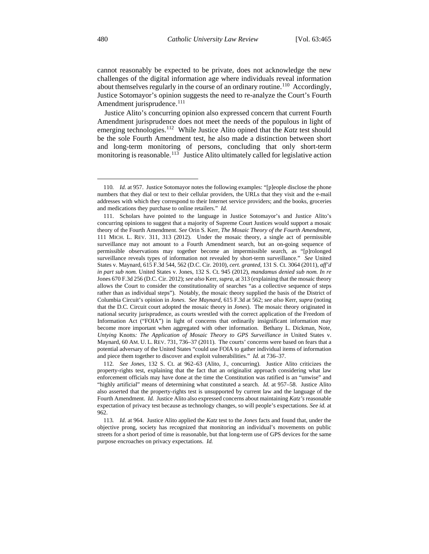cannot reasonably be expected to be private, does not acknowledge the new challenges of the digital information age where individuals reveal information about themselves regularly in the course of an ordinary routine.<sup>110</sup> Accordingly, Justice Sotomayor's opinion suggests the need to re-analyze the Court's Fourth Amendment jurisprudence.<sup>[111](#page-17-1)</sup>

Justice Alito's concurring opinion also expressed concern that current Fourth Amendment jurisprudence does not meet the needs of the populous in light of emerging technologies.<sup>[112](#page-17-2)</sup> While Justice Alito opined that the *Katz* test should be the sole Fourth Amendment test, he also made a distinction between short and long-term monitoring of persons, concluding that only short-term monitoring is reasonable.<sup>[113](#page-17-3)</sup> Justice Alito ultimately called for legislative action

<span id="page-17-0"></span><sup>110</sup>*. Id.* at 957. Justice Sotomayor notes the following examples: "[p]eople disclose the phone numbers that they dial or text to their cellular providers, the URLs that they visit and the e-mail addresses with which they correspond to their Internet service providers; and the books, groceries and medications they purchase to online retailers." *Id.*

<span id="page-17-1"></span><sup>111.</sup> Scholars have pointed to the language in Justice Sotomayor's and Justice Alito's concurring opinions to suggest that a majority of Supreme Court Justices would support a mosaic theory of the Fourth Amendment. *See* Orin S. Kerr, *The Mosaic Theory of the Fourth Amendment*, 111 MICH. L. REV. 311, 313 (2012). Under the mosaic theory, a single act of permissible surveillance may not amount to a Fourth Amendment search, but an on-going sequence of permissible observations may together become an impermissible search, as "[p]rolonged surveillance reveals types of information not revealed by short-term surveillance." *See* United States v. Maynard, 615 F.3d 544, 562 (D.C. Cir. 2010), *cert. granted*, 131 S. Ct. 3064 (2011), *aff'd in part sub nom.* United States v. Jones, 132 S. Ct. 945 (2012), *mandamus denied sub nom. In re* Jones 670 F.3d 256 (D.C. Cir. 2012); *see also* Kerr, *supra*, at 313 (explaining that the mosaic theory allows the Court to consider the constitutionality of searches "as a collective sequence of steps rather than as individual steps"). Notably, the mosaic theory supplied the basis of the District of Columbia Circuit's opinion in *Jones*. *See Maynard*, 615 F.3d at 562; *see also* Kerr, *supra* (noting that the D.C. Circuit court adopted the mosaic theory in *Jones*). The mosaic theory originated in national security jurisprudence, as courts wrestled with the correct application of the Freedom of Information Act ("FOIA") in light of concerns that ordinarily insignificant information may become more important when aggregated with other information. Bethany L. Dickman, Note, *Untying Knotts: The Application of Mosaic Theory to GPS Surveillance in United States v.* Maynard, 60 AM. U. L. REV. 731, 736–37 (2011). The courts' concerns were based on fears that a potential adversary of the United States "could use FOIA to gather individual items of information and piece them together to discover and exploit vulnerabilities." *Id.* at 736–37.

<span id="page-17-2"></span><sup>112</sup>*. See Jones*, 132 S. Ct. at 962–63 (Alito, J., concurring). Justice Alito criticizes the property-rights test, explaining that the fact that an originalist approach considering what law enforcement officials may have done at the time the Constitution was ratified is an "unwise" and "highly artificial" means of determining what constituted a search. *Id.* at 957–58. Justice Alito also asserted that the property-rights test is unsupported by current law and the language of the Fourth Amendment. *Id.* Justice Alito also expressed concerns about maintaining *Katz's* reasonable expectation of privacy test because as technology changes, so will people's expectations. *See id.* at 962.

<span id="page-17-3"></span><sup>113</sup>*. Id.* at 964. Justice Alito applied the *Katz* test to the *Jones* facts and found that, under the objective prong, society has recognized that monitoring an individual's movements on public streets for a short period of time is reasonable, but that long-term use of GPS devices for the same purpose encroaches on privacy expectations. *Id.*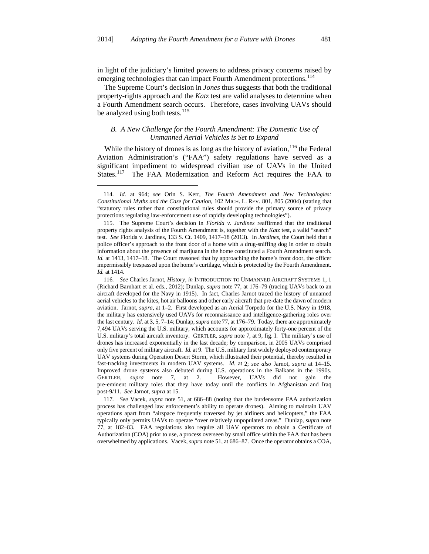in light of the judiciary's limited powers to address privacy concerns raised by emerging technologies that can impact Fourth Amendment protections.<sup>[114](#page-18-0)</sup>

The Supreme Court's decision in *Jones* thus suggests that both the traditional property-rights approach and the *Katz* test are valid analyses to determine when a Fourth Amendment search occurs. Therefore, cases involving UAVs should be analyzed using both tests. $^{115}$  $^{115}$  $^{115}$ 

#### *B. A New Challenge for the Fourth Amendment: The Domestic Use of Unmanned Aerial Vehicles is Set to Expand*

While the history of drones is as long as the history of aviation,  $116$  the Federal Aviation Administration's ("FAA") safety regulations have served as a significant impediment to widespread civilian use of UAVs in the United States.<sup>[117](#page-18-3)</sup> The FAA Modernization and Reform Act requires the FAA to

—

<span id="page-18-3"></span>117*. See* Vacek, *supra* note 51, at 686–88 (noting that the burdensome FAA authorization process has challenged law enforcement's ability to operate drones). Aiming to maintain UAV operations apart from "airspace frequently traversed by jet airliners and helicopters," the FAA typically only permits UAVs to operate "over relatively unpopulated areas." Dunlap, *supra* note 77, at 182–83. FAA regulations also require all UAV operators to obtain a Certificate of Authorization (COA) prior to use, a process overseen by small office within the FAA that has been overwhelmed by applications. Vacek, *supra* note 51, at 686–87. Once the operator obtains a COA,

<span id="page-18-0"></span><sup>114</sup>*. Id.* at 964; *see* Orin S. Kerr, *The Fourth Amendment and New Technologies: Constitutional Myths and the Case for Caution*, 102 MICH. L. REV. 801, 805 (2004) (stating that "statutory rules rather than constitutional rules should provide the primary source of privacy protections regulating law-enforcement use of rapidly developing technologies").

<span id="page-18-1"></span><sup>115.</sup> The Supreme Court's decision in *Florida v. Jardines* reaffirmed that the traditional property rights analysis of the Fourth Amendment is, together with the *Katz* test, a valid "search" test. *See* Florida v. Jardines, 133 S. Ct. 1409, 1417–18 (2013). In *Jardines*, the Court held that a police officer's approach to the front door of a home with a drug-sniffing dog in order to obtain information about the presence of marijuana in the home constituted a Fourth Amendment search. *Id.* at 1413, 1417–18. The Court reasoned that by approaching the home's front door, the officer impermissibly trespassed upon the home's curtilage, which is protected by the Fourth Amendment. *Id.* at 1414.

<span id="page-18-2"></span><sup>116</sup>*. See* Charles Jarnot, *History*, *in* INTRODUCTION TO UNMANNED AIRCRAFT SYSTEMS 1, 1 (Richard Barnhart et al. eds., 2012); Dunlap, *supra* note 77, at 176–79 (tracing UAVs back to an aircraft developed for the Navy in 1915). In fact, Charles Jarnot traced the history of unnamed aerial vehicles to the kites, hot air balloons and other early aircraft that pre-date the dawn of modern aviation. Jarnot, *supra*, at 1–2. First developed as an Aerial Torpedo for the U.S. Navy in 1918, the military has extensively used UAVs for reconnaissance and intelligence-gathering roles over the last century. *Id.* at 3, 5, 7–14; Dunlap, *supra* note 77, at 176–79. Today, there are approximately 7,494 UAVs serving the U.S. military, which accounts for approximately forty-one percent of the U.S. military's total aircraft inventory. GERTLER, *supra* note 7, at 9, fig. I. The military's use of drones has increased exponentially in the last decade; by comparison, in 2005 UAVs comprised only five percent of military aircraft. *Id.* at 9. The U.S. military first widely deployed contemporary UAV systems during Operation Desert Storm, which illustrated their potential, thereby resulted in fast-tracking investments in modern UAV systems. *Id.* at 2; *see also* Jarnot, *supra* at 14–15. Improved drone systems also debuted during U.S. operations in the Balkans in the 1990s. GERTLER, *supra* note 7, at 2. However, UAVs did not gain the pre-eminent military roles that they have today until the conflicts in Afghanistan and Iraq post-9/11. *See* Jarnot, *supra* at 15.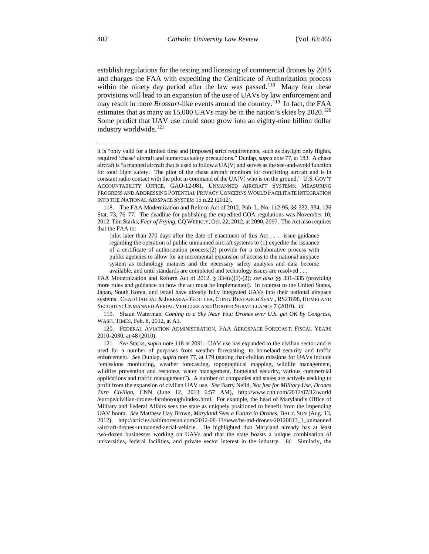establish regulations for the testing and licensing of commercial drones by 2015 and charges the FAA with expediting the Certificate of Authorization process within the ninety day period after the law was passed.<sup>118</sup> Many fear these provisions will lead to an expansion of the use of UAVs by law enforcement and may result in more *Brossart*-like events around the country.[119](#page-19-1) In fact, the FAA estimates that as many as 15,000 UAVs may be in the nation's skies by 2020.<sup>[120](#page-19-2)</sup> Some predict that UAV use could soon grow into an eighty-nine billion dollar industry worldwide.<sup>[121](#page-19-3)</sup>

<span id="page-19-1"></span>119. Shaun Waterman, *Coming to a Sky Near You; Drones over U.S. get OK by Congress*, WASH. TIMES, Feb. 8, 2012, at A1.

<span id="page-19-2"></span>120. FEDERAL AVIATION ADMINISTRATION, FAA AEROSPACE FORECAST: FISCAL YEARS 2010-2030, at 48 (2010).

it is "only valid for a limited time and [imposes] strict requirements, such as daylight only flights, required 'chase' aircraft and numerous safety precautions." Dunlap, *supra* note 77, at 183. A chase aircraft is "a manned aircraft that is used to follow a UA[V] and serves as the see-and-avoid function for total flight safety. The pilot of the chase aircraft monitors for conflicting aircraft and is in constant radio contact with the pilot in command of the UA[V] who is on the ground." U.S. GOV'T ACCOUNTABILITY OFFICE, GAO-12-981, UNMANNED AIRCRAFT SYSTEMS: MEASURING PROGRESS AND ADDRESSING POTENTIAL PRIVACY CONCERNS WOULD FACILITATE INTEGRATION INTO THE NATIONAL AIRSPACE SYSTEM 15 n.22 (2012).

<span id="page-19-0"></span><sup>118.</sup> The FAA Modernization and Reform Act of 2012, Pub. L. No. 112-95, §§ 332, 334, 126 Stat. 73, 76–77. The deadline for publishing the expedited COA regulations was November 10, 2012. Tim Starks, *Fear of Prying*, CQ WEEKLY, Oct. 22, 2012, at 2090, 2097. The Act also requires that the FAA to:

<sup>[</sup>n]ot later than 270 days after the date of enactment of this Act . . . issue guidance regarding the operation of public unmanned aircraft systems to (1) expedite the issuance of a certificate of authorization process;(2) provide for a collaborative process with public agencies to allow for an incremental expansion of access to the national airspace system as technology matures and the necessary safety analysis and data become available, and until standards are completed and technology issues are resolved . . .

FAA Modernization and Reform Act of 2012, § 334(a)(1)-(2); *see also* §§ 331–335 (providing more rules and guidance on how the act must be implemented). In contrast to the United States, Japan, South Korea, and Israel have already fully integrated UAVs into their national airspace systems. CHAD HADDAL & JEREMIAH GERTLER, CONG. RESEARCH SERV., RS21698, HOMELAND SECURITY: UNMANNED AERIAL VEHICLES AND BORDER SURVEILLANCE 7 (2010). *Id.*

<span id="page-19-3"></span><sup>121</sup>*. See* Starks, *supra* note 118 at 2091. UAV use has expanded to the civilian sector and is used for a number of purposes from weather forecasting, to homeland security and traffic enforcement. *See* Dunlap, *supra* note 77, at 179 (stating that civilian missions for UAVs include "emissions monitoring, weather forecasting, topographical mapping, wildlife management, wildfire prevention and response, water management, homeland security, various commercial applications and traffic management"). A number of companies and states are actively seeking to profit from the expansion of civilian UAV use. *See* Barry Neild, *Not just for Military Use, Drones Turn Civilian*, CNN (June 12, 2013 6:57 AM), http://www.cnn.com/2012/07/12/world /europe/civilian-drones-farnborough/index.html. For example, the head of Maryland's Office of Military and Federal Affairs sees the state as uniquely positioned to benefit from the impending UAV boom. *See* Matthew Hay Brown, *Maryland Sees a Future in Drones*, BALT. SUN (Aug. 13, 2012), http://articles.baltimoresun.com/2012-08-13/news/bs-md-drones-20120813\_1\_unmanned -aircraft-drones-unmanned-aerial-vehicle. He highlighted that Maryland already has at least two-dozen businesses working on UAVs and that the state boasts a unique combination of universities, federal facilities, and private sector interest in the industry. *Id.* Similarly, the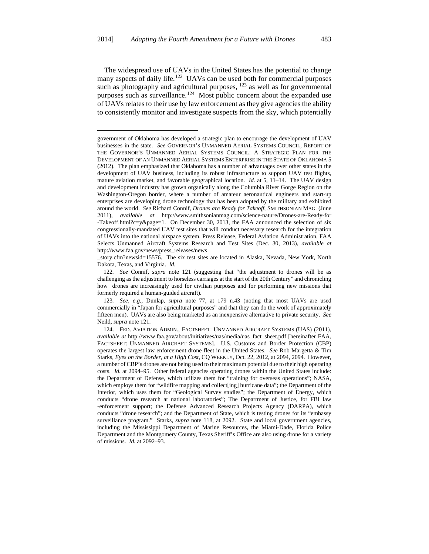—<br>—

The widespread use of UAVs in the United States has the potential to change many aspects of daily life.<sup>122</sup> UAVs can be used both for commercial purposes such as photography and agricultural purposes,  $123$  as well as for governmental purposes such as surveillance.<sup>124</sup> Most public concern about the expanded use of UAVs relates to their use by law enforcement as they give agencies the ability to consistently monitor and investigate suspects from the sky, which potentially

\_story.cfm?newsid=15576. The six test sites are located in Alaska, Nevada, New York, North Dakota, Texas, and Virginia. *Id.*

government of Oklahoma has developed a strategic plan to encourage the development of UAV businesses in the state. *See* GOVERNOR'S UNMANNED AERIAL SYSTEMS COUNCIL, REPORT OF THE GOVERNOR'S UNMANNED AERIAL SYSTEMS COUNCIL: A STRATEGIC PLAN FOR THE DEVELOPMENT OF AN UNMANNED AERIAL SYSTEMS ENTERPRISE IN THE STATE OF OKLAHOMA 5 (2012). The plan emphasized that Oklahoma has a number of advantages over other states in the development of UAV business, including its robust infrastructure to support UAV test flights, mature aviation market, and favorable geographical location. *Id.* at 5, 11–14. The UAV design and development industry has grown organically along the Columbia River Gorge Region on the Washington-Oregon border, where a number of amateur aeronautical engineers and start-up enterprises are developing drone technology that has been adopted by the military and exhibited around the world. *See* Richard Connif, *Drones are Ready for Takeoff*, SMITHSONIAN MAG. (June 2011), *available at* http://www.smithsonianmag.com/science-nature/Drones-are-Ready-for -Takeoff.html?c=y&page=1. On December 30, 2013, the FAA announced the selection of six congressionally-mandated UAV test sites that will conduct necessary research for the integration of UAVs into the national airspace system. Press Release, Federal Aviation Administration, FAA Selects Unmanned Aircraft Systems Research and Test Sites (Dec. 30, 2013), *available at* http://www.faa.gov/news/press\_releases/news

<span id="page-20-0"></span><sup>122</sup>*. See* Connif, *supra* note 121 (suggesting that "the adjustment to drones will be as challenging as the adjustment to horseless carriages at the start of the 20th Century" and chronicling how drones are increasingly used for civilian purposes and for performing new missions that formerly required a human-guided aircraft).

<span id="page-20-1"></span><sup>123</sup>*. See, e.g.*, Dunlap, *supra* note 77, at 179 n.43 (noting that most UAVs are used commercially in "Japan for agricultural purposes" and that they can do the work of approximately fifteen men). UAVs are also being marketed as an inexpensive alternative to private security. *See* Neild, *supra* note 121.

<span id="page-20-2"></span><sup>124.</sup> FED. AVIATION ADMIN., FACTSHEET: UNMANNED AIRCRAFT SYSTEMS (UAS) (2011), *available at* http://www.faa.gov/about/initiatives/uas/media/uas\_fact\_sheet.pdf [hereinafter FAA, FACTSHEET: UNMANNED AIRCRAFT SYSTEMS]. U.S. Customs and Border Protection (CBP) operates the largest law enforcement drone fleet in the United States. *See* Rob Margetta & Tim Starks, *Eyes on the Border, at a High Cost*, CQ WEEKLY, Oct. 22, 2012, at 2094, 2094. However, a number of CBP's drones are not being used to their maximum potential due to their high operating costs. *Id.* at 2094–95. Other federal agencies operating drones within the United States include: the Department of Defense, which utilizes them for "training for overseas operations"; NASA, which employs them for "wildfire mapping and collect[ing] hurricane data"; the Department of the Interior, which uses them for "Geological Survey studies"; the Department of Energy, which conducts "drone research at national laboratories"; The Department of Justice, for FBI law -enforcement support; the Defense Advanced Research Projects Agency (DARPA), which conducts "drone research"; and the Department of State, which is testing drones for its "embassy surveillance program." Starks, *supra* note 118, at 2092. State and local government agencies, including the Mississippi Department of Marine Resources, the Miami-Dade, Florida Police Department and the Montgomery County, Texas Sheriff's Office are also using drone for a variety of missions. *Id.* at 2092–93.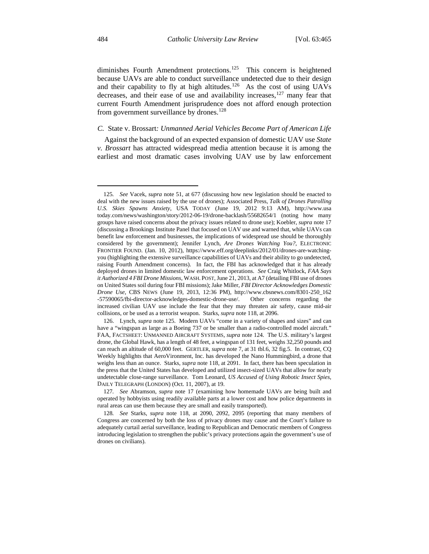diminishes Fourth Amendment protections.<sup>[125](#page-21-0)</sup> This concern is heightened because UAVs are able to conduct surveillance undetected due to their design and their capability to fly at high altitudes.<sup>126</sup> As the cost of using UAVs decreases, and their ease of use and availability increases,<sup>[127](#page-21-2)</sup> many fear that current Fourth Amendment jurisprudence does not afford enough protection from government surveillance by drones.<sup>[128](#page-21-3)</sup>

#### *C.* State v. Brossart*: Unmanned Aerial Vehicles Become Part of American Life*

Against the background of an expected expansion of domestic UAV use *State v. Brossart* has attracted widespread media attention because it is among the earliest and most dramatic cases involving UAV use by law enforcement

<span id="page-21-0"></span><sup>125</sup>*. See* Vacek, *supra* note 51, at 677 (discussing how new legislation should be enacted to deal with the new issues raised by the use of drones); Associated Press, *Talk of Drones Patrolling U.S. Skies Spawns Anxiety*, USA TODAY (June 19, 2012 9:13 AM), http://www.usa today.com/news/washington/story/2012-06-19/drone-backlash/55682654/1 (noting how many groups have raised concerns about the privacy issues related to drone use); Koebler, *supra* note 17 (discussing a Brookings Institute Panel that focused on UAV use and warned that, while UAVs can benefit law enforcement and businesses, the implications of widespread use should be thoroughly considered by the government); Jennifer Lynch, *Are Drones Watching You?*, ELECTRONIC FRONTIER FOUND. (Jan. 10, 2012), https://www.eff.org/deeplinks/2012/01/drones-are-watchingyou (highlighting the extensive surveillance capabilities of UAVs and their ability to go undetected, raising Fourth Amendment concerns). In fact, the FBI has acknowledged that it has already deployed drones in limited domestic law enforcement operations. *See* Craig Whitlock, *FAA Says it Authorized 4 FBI Drone Missions*, WASH. POST, June 21, 2013, at A7 (detailing FBI use of drones on United States soil during four FBI missions); Jake Miller, *FBI Director Acknowledges Domestic Drone Use*, CBS NEWS (June 19, 2013, 12:36 PM), http://www.cbsnews.com/8301-250\_162 -57590065/fbi-director-acknowledges-domestic-drone-use/. Other concerns regarding the increased civilian UAV use include the fear that they may threaten air safety, cause mid-air collisions, or be used as a terrorist weapon. Starks, *supra* note 118, at 2096. —

<span id="page-21-1"></span><sup>126.</sup> Lynch, *supra* note 125. Modern UAVs "come in a variety of shapes and sizes" and can have a "wingspan as large as a Boeing 737 or be smaller than a radio-controlled model aircraft." FAA, FACTSHEET: UNMANNED AIRCRAFT SYSTEMS, *supra* note 124. The U.S. military's largest drone, the Global Hawk, has a length of 48 feet, a wingspan of 131 feet, weighs 32,250 pounds and can reach an altitude of 60,000 feet. GERTLER, *supra* note 7, at 31 tbl.6, 32 fig.5. In contrast, CQ Weekly highlights that AeroVironment, Inc. has developed the Nano Hummingbird, a drone that weighs less than an ounce. Starks, *supra* note 118, at 2091. In fact, there has been speculation in the press that the United States has developed and utilized insect-sized UAVs that allow for nearly undetectable close-range surveillance. Tom Leonard, *US Accused of Using Robotic Insect Spies*, DAILY TELEGRAPH (LONDON) (Oct. 11, 2007), at 19.

<span id="page-21-2"></span><sup>127</sup>*. See* Abramson, *supra* note 17 (examining how homemade UAVs are being built and operated by hobbyists using readily available parts at a lower cost and how police departments in rural areas can use them because they are small and easily transported).

<span id="page-21-3"></span><sup>128</sup>*. See* Starks, *supra* note 118, at 2090, 2092, 2095 (reporting that many members of Congress are concerned by both the loss of privacy drones may cause and the Court's failure to adequately curtail aerial surveillance, leading to Republican and Democratic members of Congress introducing legislation to strengthen the public's privacy protections again the government's use of drones on civilians).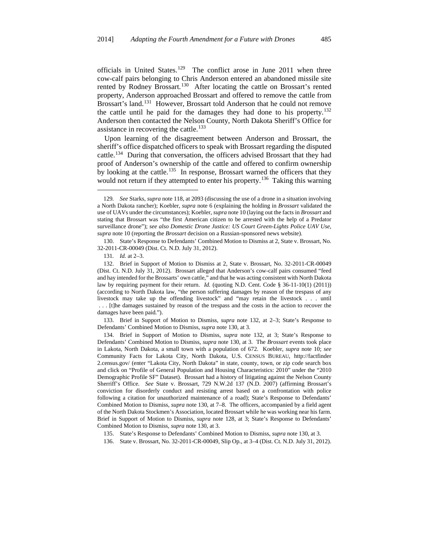officials in United States.[129](#page-22-0) The conflict arose in June 2011 when three cow-calf pairs belonging to Chris Anderson entered an abandoned missile site rented by Rodney Brossart.<sup>[130](#page-22-1)</sup> After locating the cattle on Brossart's rented property, Anderson approached Brossart and offered to remove the cattle from Brossart's land.<sup>[131](#page-22-2)</sup> However, Brossart told Anderson that he could not remove the cattle until he paid for the damages they had done to his property.<sup>[132](#page-22-3)</sup> Anderson then contacted the Nelson County, North Dakota Sheriff's Office for assistance in recovering the cattle.<sup>[133](#page-22-4)</sup>

Upon learning of the disagreement between Anderson and Brossart, the sheriff's office dispatched officers to speak with Brossart regarding the disputed cattle.<sup>[134](#page-22-5)</sup> During that conversation, the officers advised Brossart that they had proof of Anderson's ownership of the cattle and offered to confirm ownership by looking at the cattle.<sup>[135](#page-22-6)</sup> In response, Brossart warned the officers that they would not return if they attempted to enter his property.<sup>136</sup> Taking this warning

—

<span id="page-22-4"></span>133. Brief in Support of Motion to Dismiss, *supra* note 132, at 2–3; State's Response to Defendants' Combined Motion to Dismiss, *supra* note 130, at 3.

<span id="page-22-0"></span><sup>129</sup>*. See* Starks, *supra* note 118, at 2093 (discussing the use of a drone in a situation involving a North Dakota rancher); Koebler, *supra* note 6 (explaining the holding in *Brossart* validated the use of UAVs under the circumstances); Koebler, *supra* note 10 (laying out the facts in *Brossart* and stating that Brossart was "the first American citizen to be arrested with the help of a Predator surveillance drone"); *see also Domestic Drone Justice: US Court Green-Lights Police UAV Use*, *supra* note 10 (reporting the *Brossart* decision on a Russian-sponsored news website).

<span id="page-22-1"></span><sup>130.</sup> State's Response to Defendants' Combined Motion to Dismiss at 2, State v. Brossart, No. 32-2011-CR-00049 (Dist. Ct. N.D. July 31, 2012).

<sup>131</sup>*. Id.* at 2–3.

<span id="page-22-3"></span><span id="page-22-2"></span><sup>132.</sup> Brief in Support of Motion to Dismiss at 2, State v. Brossart, No. 32-2011-CR-00049 (Dist. Ct. N.D. July 31, 2012). Brossart alleged that Anderson's cow-calf pairs consumed "feed and hay intended for the Brossarts' own cattle," and that he was acting consistent with North Dakota law by requiring payment for their return. *Id.* (quoting N.D. Cent. Code § 36-11-10(1) (2011)) (according to North Dakota law, "the person suffering damages by reason of the trespass of any livestock may take up the offending livestock" and "may retain the livestock . . . until . . . [t]he damages sustained by reason of the trespass and the costs in the action to recover the damages have been paid.").

<span id="page-22-5"></span><sup>134.</sup> Brief in Support of Motion to Dismiss, *supra* note 132, at 3; State's Response to Defendants' Combined Motion to Dismiss, *supra* note 130, at 3. The *Brossart* events took place in Lakota, North Dakota, a small town with a population of 672. Koebler, *supra* note 10; *see* Community Facts for Lakota City, North Dakota, U.S. CENSUS BUREAU, http://factfinder 2.census.gov/ (enter "Lakota City, North Dakota" in state, county, town, or zip code search box and click on "Profile of General Population and Housing Characteristics: 2010" under the "2010 Demographic Profile SF" Dataset). Brossart had a history of litigating against the Nelson County Sherriff's Office. *See* State v. Brossart, 729 N.W.2d 137 (N.D. 2007) (affirming Brossart's conviction for disorderly conduct and resisting arrest based on a confrontation with police following a citation for unauthorized maintenance of a road); State's Response to Defendants' Combined Motion to Dismiss, *supra* note 130, at 7–8. The officers, accompanied by a field agent of the North Dakota Stockmen's Association, located Brossart while he was working near his farm. Brief in Support of Motion to Dismiss, *supra* note 128, at 3; State's Response to Defendants' Combined Motion to Dismiss, *supra* note 130, at 3.

<sup>135.</sup> State's Response to Defendants' Combined Motion to Dismiss, *supra* note 130, at 3.

<span id="page-22-7"></span><span id="page-22-6"></span><sup>136.</sup> State v. Brossart, No. 32-2011-CR-00049, Slip Op., at 3–4 (Dist. Ct. N.D. July 31, 2012).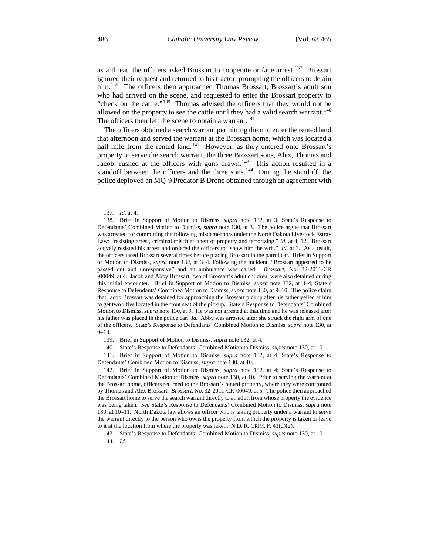as a threat, the officers asked Brossart to cooperate or face arrest.<sup>137</sup> Brossart ignored their request and returned to his tractor, prompting the officers to detain him.<sup>[138](#page-23-1)</sup> The officers then approached Thomas Brossart, Brossart's adult son who had arrived on the scene, and requested to enter the Brossart property to "check on the cattle."<sup>[139](#page-23-2)</sup> Thomas advised the officers that they would not be allowed on the property to see the cattle until they had a valid search warrant.<sup>[140](#page-23-3)</sup> The officers then left the scene to obtain a warrant.<sup>[141](#page-23-4)</sup>

The officers obtained a search warrant permitting them to enter the rented land that afternoon and served the warrant at the Brossart home, which was located a half-mile from the rented land.<sup>142</sup> However, as they entered onto Brossart's property to serve the search warrant, the three Brossart sons, Alex, Thomas and Jacob, rushed at the officers with guns drawn.<sup>143</sup> This action resulted in a standoff between the officers and the three sons.<sup>144</sup> During the standoff, the police deployed an MQ-9 Predator B Drone obtained through an agreement with

—<br>—

<span id="page-23-4"></span><span id="page-23-3"></span><span id="page-23-2"></span>141. Brief in Support of Motion to Dismiss, *supra* note 132, at 4; State's Response to Defendants' Combined Motion to Dismiss, *supra* note 130, at 10.

<sup>137</sup>*. Id.* at 4.

<span id="page-23-1"></span><span id="page-23-0"></span><sup>138.</sup> Brief in Support of Motion to Dismiss, *supra* note 132, at 3; State's Response to Defendants' Combined Motion to Dismiss, *supra* note 130, at 3. The police argue that Brossart was arrested for committing the following misdemeanors under the North Dakota Livestock Estray Law: "resisting arrest, criminal mischief, theft of property and terrorizing." *Id.* at 4, 12. Brossart actively resisted his arrest and ordered the officers to "show him the writ." *Id.* at 3. As a result, the officers tased Brossart several times before placing Brossart in the patrol car. Brief in Support of Motion to Dismiss, *supra* note 132, at 3–4. Following the incident, "Brossart appeared to be passed out and unresponsive" and an ambulance was called. *Brossart*, No. 32-2011-CR -00049, at 4. Jacob and Abby Brossart, two of Brossart's adult children, were also detained during this initial encounter. Brief in Support of Motion to Dismiss, *supra* note 132, at 3–4; State's Response to Defendants' Combined Motion to Dismiss, *supra* note 130, at 9–10. The police claim that Jacob Brossart was detained for approaching the Brossart pickup after his father yelled at him to get two rifles located in the front seat of the pickup. State's Response to Defendants' Combined Motion to Dismiss, *supra* note 130, at 9. He was not arrested at that time and he was released after his father was placed in the police car. *Id.* Abby was arrested after she struck the right arm of one of the officers. State's Response to Defendants' Combined Motion to Dismiss, *supra* note 130, at 9–10.

<sup>139.</sup> Brief in Support of Motion to Dismiss, *supra* note 132, at 4.

<sup>140.</sup> State's Response to Defendants' Combined Motion to Dismiss, *supra* note 130, at 10.

<span id="page-23-5"></span><sup>142.</sup> Brief in Support of Motion to Dismiss, *supra* note 132, at 4; State's Response to Defendants' Combined Motion to Dismiss, *supra* note 130, at 10. Prior to serving the warrant at the Brossart home, officers returned to the Brossart's rented property, where they were confronted by Thomas and Alex Brossart. *Brossart*, No. 32-2011-CR-00049, at 5. The police then approached the Brossart home to serve the search warrant directly to an adult from whose property the evidence was being taken. *See* State's Response to Defendants' Combined Motion to Dismiss, *supra* note 130, at 10–11. North Dakota law allows an officer who is taking property under a warrant to serve the warrant directly to the person who owns the property from which the property is taken or leave to it at the location from where the property was taken. N.D. R. CRIM. P. 41(d)(2).

<span id="page-23-7"></span><span id="page-23-6"></span><sup>143.</sup> State's Response to Defendants' Combined Motion to Dismiss, *supra* note 130, at 10. 144*. Id.*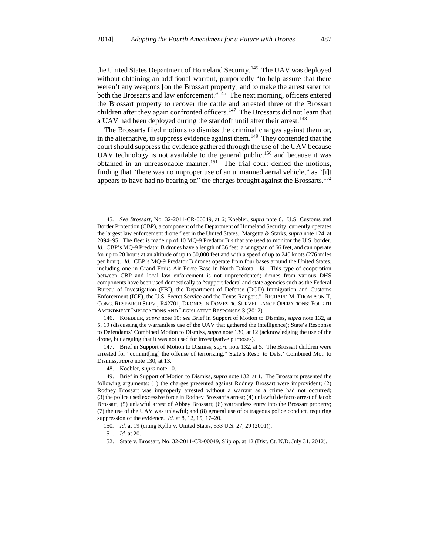the United States Department of Homeland Security.<sup>145</sup> The UAV was deployed without obtaining an additional warrant, purportedly "to help assure that there weren't any weapons [on the Brossart property] and to make the arrest safer for both the Brossarts and law enforcement."<sup>146</sup> The next morning, officers entered the Brossart property to recover the cattle and arrested three of the Brossart children after they again confronted officers.<sup>[147](#page-24-2)</sup> The Brossarts did not learn that a UAV had been deployed during the standoff until after their arrest.<sup>[148](#page-24-3)</sup>

The Brossarts filed motions to dismiss the criminal charges against them or, in the alternative, to suppress evidence against them.<sup>149</sup> They contended that the court should suppress the evidence gathered through the use of the UAV because UAV technology is not available to the general public, $150$  and because it was obtained in an unreasonable manner.<sup>[151](#page-24-6)</sup> The trial court denied the motions, finding that "there was no improper use of an unmanned aerial vehicle," as "[i]t appears to have had no bearing on" the charges brought against the Brossarts.<sup>[152](#page-24-7)</sup>

<span id="page-24-0"></span><sup>145</sup>*. See Brossart*, No. 32-2011-CR-00049, at 6; Koebler, *supra* note 6. U.S. Customs and Border Protection (CBP), a component of the Department of Homeland Security, currently operates the largest law enforcement drone fleet in the United States. Margetta & Starks, *supra* note 124, at 2094–95. The fleet is made up of 10 MQ-9 Predator B's that are used to monitor the U.S. border. *Id.* CBP's MQ-9 Predator B drones have a length of 36 feet, a wingspan of 66 feet, and can operate for up to 20 hours at an altitude of up to 50,000 feet and with a speed of up to 240 knots (276 miles per hour). *Id.* CBP's MQ-9 Predator B drones operate from four bases around the United States, including one in Grand Forks Air Force Base in North Dakota. *Id.* This type of cooperation between CBP and local law enforcement is not unprecedented; drones from various DHS components have been used domestically to "support federal and state agencies such as the Federal Bureau of Investigation (FBI), the Department of Defense (DOD) Immigration and Customs Enforcement (ICE), the U.S. Secret Service and the Texas Rangers." RICHARD M. THOMPSON II, CONG. RESEARCH SERV., R42701, DRONES IN DOMESTIC SURVEILLANCE OPERATIONS: FOURTH AMENDMENT IMPLICATIONS AND LEGISLATIVE RESPONSES 3 (2012). —

<span id="page-24-1"></span><sup>146.</sup> KOEBLER, *supra* note 10; *see* Brief in Support of Motion to Dismiss, *supra* note 132, at 5, 19 (discussing the warrantless use of the UAV that gathered the intelligence); State's Response to Defendants' Combined Motion to Dismiss, *supra* note 130, at 12 (acknowledging the use of the drone, but arguing that it was not used for investigative purposes).

<span id="page-24-2"></span><sup>147.</sup> Brief in Support of Motion to Dismiss, *supra* note 132, at 5. The Brossart children were arrested for "commit[ing] the offense of terrorizing." State's Resp. to Defs.' Combined Mot. to Dismiss, *supra* note 130, at 13.

<sup>148.</sup> Koebler, *supra* note 10.

<span id="page-24-4"></span><span id="page-24-3"></span><sup>149.</sup> Brief in Support of Motion to Dismiss, *supra* note 132, at 1. The Brossarts presented the following arguments: (1) the charges presented against Rodney Brossart were improvident; (2) Rodney Brossart was improperly arrested without a warrant as a crime had not occurred; (3) the police used excessive force in Rodney Brossart's arrest; (4) unlawful de facto arrest of Jacob Brossart; (5) unlawful arrest of Abbey Brossart; (6) warrantless entry into the Brossart property; (7) the use of the UAV was unlawful; and (8) general use of outrageous police conduct, requiring suppression of the evidence. *Id.* at 8, 12, 15, 17–20.

<span id="page-24-5"></span><sup>150</sup>*. Id.* at 19 (citing Kyllo v. United States, 533 U.S. 27, 29 (2001)).

<sup>151</sup>*. Id.* at 20.

<span id="page-24-7"></span><span id="page-24-6"></span><sup>152.</sup> State v. Brossart, No. 32-2011-CR-00049, Slip op. at 12 (Dist. Ct. N.D. July 31, 2012).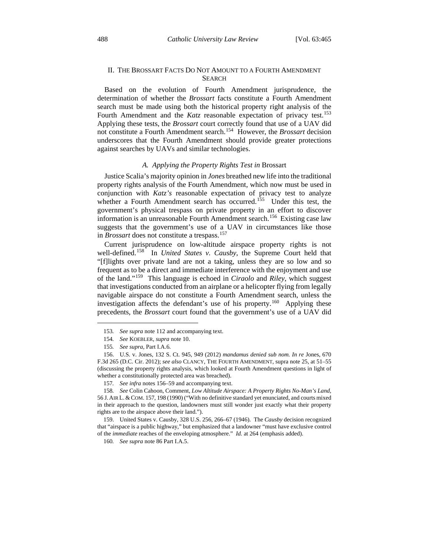#### II. THE BROSSART FACTS DO NOT AMOUNT TO A FOURTH AMENDMENT SEARCH

Based on the evolution of Fourth Amendment jurisprudence, the determination of whether the *Brossart* facts constitute a Fourth Amendment search must be made using both the historical property right analysis of the Fourth Amendment and the *Katz* reasonable expectation of privacy test.<sup>[153](#page-25-0)</sup> Applying these tests, the *Brossart* court correctly found that use of a UAV did not constitute a Fourth Amendment search.[154](#page-25-1) However, the *Brossart* decision underscores that the Fourth Amendment should provide greater protections against searches by UAVs and similar technologies.

#### *A. Applying the Property Rights Test in* Brossart

Justice Scalia's majority opinion in *Jones* breathed new life into the traditional property rights analysis of the Fourth Amendment, which now must be used in conjunction with *Katz's* reasonable expectation of privacy test to analyze whether a Fourth Amendment search has occurred.<sup>155</sup> Under this test, the government's physical trespass on private property in an effort to discover information is an unreasonable Fourth Amendment search.<sup>[156](#page-25-3)</sup> Existing case law suggests that the government's use of a UAV in circumstances like those in *Brossart* does not constitute a trespass.<sup>[157](#page-25-4)</sup>

Current jurisprudence on low-altitude airspace property rights is not well-defined.<sup>158</sup> In *United States v. Causby*, the Supreme Court held that "[f]lights over private land are not a taking, unless they are so low and so frequent as to be a direct and immediate interference with the enjoyment and use of the land."[159](#page-25-6) This language is echoed in *Ciraolo* and *Riley*, which suggest that investigations conducted from an airplane or a helicopter flying from legally navigable airspace do not constitute a Fourth Amendment search, unless the investigation affects the defendant's use of his property.<sup>160</sup> Applying these precedents, the *Brossart* court found that the government's use of a UAV did

<span id="page-25-0"></span>—

<span id="page-25-7"></span><span id="page-25-6"></span>159. United States v. Causby, 328 U.S. 256, 266–67 (1946). The *Causby* decision recognized that "airspace is a public highway," but emphasized that a landowner "must have exclusive control of the *immediate* reaches of the enveloping atmosphere." *Id.* at 264 (emphasis added).

160*. See supra* note 86 Part I.A.5.

<sup>153</sup>*. See supra* note 112 and accompanying text.

<sup>154</sup>*. See* KOEBLER, *supra* note 10.

<sup>155</sup>*. See supra*, Part I.A.6.

<span id="page-25-3"></span><span id="page-25-2"></span><span id="page-25-1"></span><sup>156.</sup> U.S. v. Jones, 132 S. Ct. 945, 949 (2012) *mandamus denied sub nom. In re* Jones, 670 F.3d 265 (D.C. Cir. 2012); *see also* CLANCY, THE FOURTH AMENDMENT, supra note 25, at 51–55 (discussing the property rights analysis, which looked at Fourth Amendment questions in light of whether a constitutionally protected area was breached).

<sup>157</sup>*. See infra* notes 156–59 and accompanying text.

<span id="page-25-5"></span><span id="page-25-4"></span><sup>158</sup>*. See* Colin Cahoon, Comment, *Low Altitude Airspace: A Property Rights No-Man's Land*, 56 J. AIR L. &COM. 157, 198 (1990) ("With no definitive standard yet enunciated, and courts mixed in their approach to the question, landowners must still wonder just exactly what their property rights are to the airspace above their land.").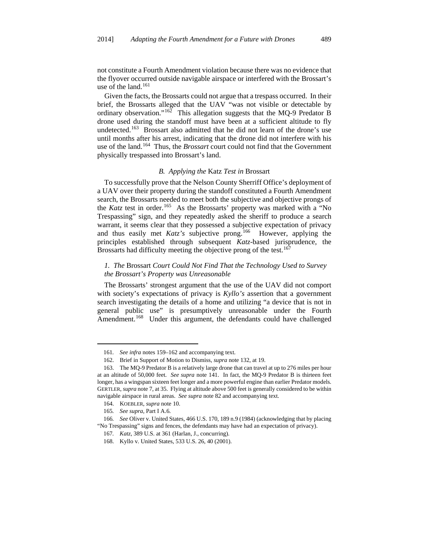not constitute a Fourth Amendment violation because there was no evidence that the flyover occurred outside navigable airspace or interfered with the Brossart's use of the land.<sup>[161](#page-26-0)</sup>

Given the facts, the Brossarts could not argue that a trespass occurred. In their brief, the Brossarts alleged that the UAV "was not visible or detectable by ordinary observation."<sup>162</sup> This allegation suggests that the MQ-9 Predator B drone used during the standoff must have been at a sufficient altitude to fly undetected.<sup>[163](#page-26-2)</sup> Brossart also admitted that he did not learn of the drone's use until months after his arrest, indicating that the drone did not interfere with his use of the land.[164](#page-26-3) Thus, the *Brossart* court could not find that the Government physically trespassed into Brossart's land.

#### *B. Applying the* Katz *Test in* Brossart

To successfully prove that the Nelson County Sherriff Office's deployment of a UAV over their property during the standoff constituted a Fourth Amendment search, the Brossarts needed to meet both the subjective and objective prongs of the *Katz* test in order.<sup>165</sup> As the Brossarts' property was marked with a "No Trespassing" sign, and they repeatedly asked the sheriff to produce a search warrant, it seems clear that they possessed a subjective expectation of privacy and thus easily met *Katz's* subjective prong.<sup>[166](#page-26-5)</sup> However, applying the principles established through subsequent *Katz*-based jurisprudence, the Brossarts had difficulty meeting the objective prong of the test.<sup>[167](#page-26-6)</sup>

#### *1. The* Brossart *Court Could Not Find That the Technology Used to Survey the Brossart's Property was Unreasonable*

The Brossarts' strongest argument that the use of the UAV did not comport with society's expectations of privacy is *Kyllo's* assertion that a government search investigating the details of a home and utilizing "a device that is not in general public use" is presumptively unreasonable under the Fourth Amendment.<sup>168</sup> Under this argument, the defendants could have challenged

<sup>161</sup>*. See infra* notes 159–162 and accompanying text.

<sup>162.</sup> Brief in Support of Motion to Dismiss, *supra* note 132, at 19.

<span id="page-26-2"></span><span id="page-26-1"></span><span id="page-26-0"></span><sup>163.</sup> The MQ-9 Predator B is a relatively large drone that can travel at up to 276 miles per hour at an altitude of 50,000 feet. *See supra* note 141. In fact, the MQ-9 Predator B is thirteen feet longer, has a wingspan sixteen feet longer and a more powerful engine than earlier Predator models. GERTLER, *supra* note 7, at 35. Flying at altitude above 500 feet is generally considered to be within navigable airspace in rural areas. *See supra* note 82 and accompanying text.

<sup>164.</sup> KOEBLER, *supra* note 10.

<sup>165</sup>*. See supra*, Part I A.6.

<span id="page-26-7"></span><span id="page-26-6"></span><span id="page-26-5"></span><span id="page-26-4"></span><span id="page-26-3"></span><sup>166</sup>*. See* Oliver v. United States, 466 U.S. 170, 189 n.9 (1984) (acknowledging that by placing "No Trespassing" signs and fences, the defendants may have had an expectation of privacy).

<sup>167</sup>*. Katz*, 389 U.S. at 361 (Harlan, J., concurring).

<sup>168.</sup> Kyllo v. United States, 533 U.S. 26, 40 (2001).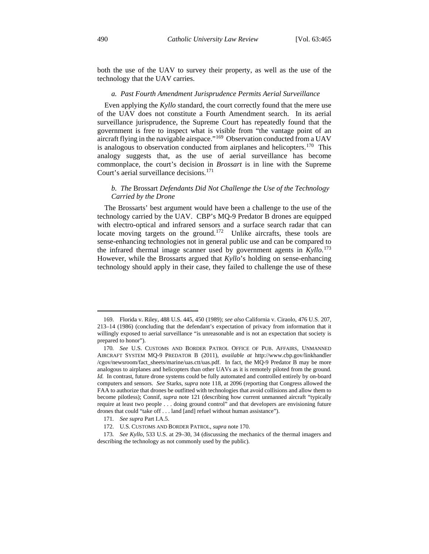both the use of the UAV to survey their property, as well as the use of the technology that the UAV carries.

#### *a. Past Fourth Amendment Jurisprudence Permits Aerial Surveillance*

Even applying the *Kyllo* standard, the court correctly found that the mere use of the UAV does not constitute a Fourth Amendment search. In its aerial surveillance jurisprudence, the Supreme Court has repeatedly found that the government is free to inspect what is visible from "the vantage point of an aircraft flying in the navigable airspace."[169](#page-27-0) Observation conducted from a UAV is analogous to observation conducted from airplanes and helicopters.<sup>[170](#page-27-1)</sup> This analogy suggests that, as the use of aerial surveillance has become commonplace, the court's decision in *Brossart* is in line with the Supreme Court's aerial surveillance decisions.<sup>[171](#page-27-2)</sup>

#### *b. The* Brossart *Defendants Did Not Challenge the Use of the Technology Carried by the Drone*

The Brossarts' best argument would have been a challenge to the use of the technology carried by the UAV. CBP's MQ-9 Predator B drones are equipped with electro-optical and infrared sensors and a surface search radar that can locate moving targets on the ground.<sup>[172](#page-27-3)</sup> Unlike aircrafts, these tools are sense-enhancing technologies not in general public use and can be compared to the infrared thermal image scanner used by government agents in *Kyllo*. [173](#page-27-4) However, while the Brossarts argued that *Kyllo*'s holding on sense-enhancing technology should apply in their case, they failed to challenge the use of these

<span id="page-27-0"></span><sup>169.</sup> Florida v. Riley, 488 U.S. 445, 450 (1989); *see also* California v. Ciraolo, 476 U.S. 207, 213–14 (1986) (concluding that the defendant's expectation of privacy from information that it willingly exposed to aerial surveillance "is unreasonable and is not an expectation that society is prepared to honor").

<span id="page-27-1"></span><sup>170</sup>*. See* U.S. CUSTOMS AND BORDER PATROL OFFICE OF PUB. AFFAIRS, UNMANNED AIRCRAFT SYSTEM MQ-9 PREDATOR B (2011), *available at* http://www.cbp.gov/linkhandler /cgov/newsroom/fact\_sheets/marine/uas.ctt/uas.pdf. In fact, the MQ-9 Predator B may be more analogous to airplanes and helicopters than other UAVs as it is remotely piloted from the ground. *Id.* In contrast, future drone systems could be fully automated and controlled entirely by on-board computers and sensors. *See* Starks, *supra* note 118, at 2096 (reporting that Congress allowed the FAA to authorize that drones be outfitted with technologies that avoid collisions and allow them to become pilotless); Connif, *supra* note 121 (describing how current unmanned aircraft "typically require at least two people . . . doing ground control" and that developers are envisioning future drones that could "take off . . . land [and] refuel without human assistance").

<sup>171</sup>*. See supra* Part I.A.5.

<sup>172.</sup> U.S. CUSTOMS AND BORDER PATROL, *supra* note 170.

<span id="page-27-4"></span><span id="page-27-3"></span><span id="page-27-2"></span><sup>173</sup>*. See Kyllo*, 533 U.S. at 29–30, 34 (discussing the mechanics of the thermal imagers and describing the technology as not commonly used by the public).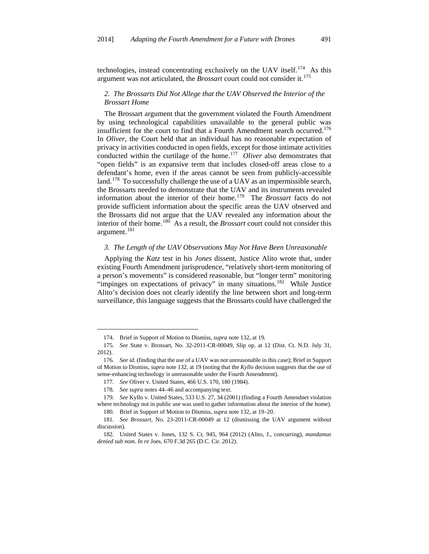technologies, instead concentrating exclusively on the UAV itself.<sup>174</sup> As this argument was not articulated, the *Brossart* court could not consider it.[175](#page-28-1)

#### *2. The Brossarts Did Not Allege that the UAV Observed the Interior of the Brossart Home*

The Brossart argument that the government violated the Fourth Amendment by using technological capabilities unavailable to the general public was insufficient for the court to find that a Fourth Amendment search occurred.<sup>[176](#page-28-2)</sup> In *Oliver*, the Court held that an individual has no reasonable expectation of privacy in activities conducted in open fields, except for those intimate activities conducted within the curtilage of the home.[177](#page-28-3) *Oliver* also demonstrates that "open fields" is an expansive term that includes closed-off areas close to a defendant's home, even if the areas cannot be seen from publicly-accessible land.<sup>178</sup> To successfully challenge the use of a UAV as an impermissible search, the Brossarts needed to demonstrate that the UAV and its instruments revealed information about the interior of their home.[179](#page-28-5) The *Brossart* facts do not provide sufficient information about the specific areas the UAV observed and the Brossarts did not argue that the UAV revealed any information about the interior of their home.[180](#page-28-6) As a result, the *Brossart* court could not consider this argument.<sup>[181](#page-28-7)</sup>

#### *3. The Length of the UAV Observations May Not Have Been Unreasonable*

Applying the *Katz* test in his *Jones* dissent, Justice Alito wrote that, under existing Fourth Amendment jurisprudence, "relatively short-term monitoring of a person's movements" is considered reasonable, but "longer term" monitoring "impinges on expectations of privacy" in many situations.<sup>182</sup> While Justice Alito's decision does not clearly identify the line between short and long-term surveillance, this language suggests that the Brossarts could have challenged the

<sup>174.</sup> Brief in Support of Motion to Dismiss, *supra* note 132, at 19.

<span id="page-28-1"></span><span id="page-28-0"></span><sup>175</sup>*. See* State v. Brossart, No. 32-2011-CR-00049, Slip op. at 12 (Dist. Ct. N.D. July 31, 2012).

<span id="page-28-2"></span><sup>176</sup>*. See id.* (finding that the use of a UAV was not unreasonable in this case); Brief in Support of Motion to Dismiss, *supra* note 132, at 19 (noting that the *Kyllo* decision suggests that the use of sense-enhancing technology is unreasonable under the Fourth Amendment).

<sup>177</sup>*. See* Oliver v. United States, 466 U.S. 170, 180 (1984).

<sup>178</sup>*. See supra* notes 44–46 and accompanying text.

<span id="page-28-5"></span><span id="page-28-4"></span><span id="page-28-3"></span><sup>179</sup>*. See* Kyllo v. United States, 533 U.S. 27, 34 (2001) (finding a Fourth Amendnet violation where technology not in public use was used to gather information about the interior of the home). 180. Brief in Support of Motion to Dismiss, *supra* note 132, at 19–20.

<span id="page-28-7"></span><span id="page-28-6"></span><sup>181</sup>*. See Brossart*, No. 23-2011-CR-00049 at 12 (dismissing the UAV argument without discussion).

<span id="page-28-8"></span><sup>182.</sup> United States v. Jones, 132 S. Ct. 945, 964 (2012) (Alito, J., concurring), *mandamus denied sub nom. In re* Joes, 670 F.3d 265 (D.C. Cir. 2012).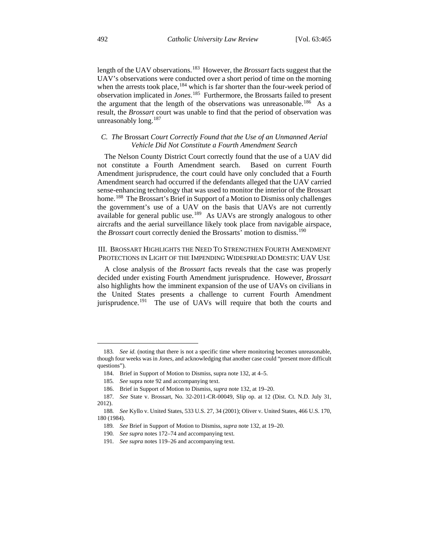length of the UAV observations.<sup>[183](#page-29-0)</sup> However, the *Brossart* facts suggest that the UAV's observations were conducted over a short period of time on the morning when the arrests took place,<sup>[184](#page-29-1)</sup> which is far shorter than the four-week period of observation implicated in *Jones*. [185](#page-29-2) Furthermore, the Brossarts failed to present the argument that the length of the observations was unreasonable.<sup>[186](#page-29-3)</sup> As a result, the *Brossart* court was unable to find that the period of observation was unreasonably long.<sup>[187](#page-29-4)</sup>

#### *C. The* Brossart *Court Correctly Found that the Use of an Unmanned Aerial Vehicle Did Not Constitute a Fourth Amendment Search*

The Nelson County District Court correctly found that the use of a UAV did not constitute a Fourth Amendment search. Based on current Fourth Amendment jurisprudence, the court could have only concluded that a Fourth Amendment search had occurred if the defendants alleged that the UAV carried sense-enhancing technology that was used to monitor the interior of the Brossart home.<sup>[188](#page-29-5)</sup> The Brossart's Brief in Support of a Motion to Dismiss only challenges the government's use of a UAV on the basis that UAVs are not currently available for general public use.<sup>189</sup> As UAVs are strongly analogous to other aircrafts and the aerial surveillance likely took place from navigable airspace, the *Brossart* court correctly denied the Brossarts' motion to dismiss.<sup>[190](#page-29-7)</sup>

### III. BROSSART HIGHLIGHTS THE NEED TO STRENGTHEN FOURTH AMENDMENT PROTECTIONS IN LIGHT OF THE IMPENDING WIDESPREAD DOMESTIC UAV USE

A close analysis of the *Brossart* facts reveals that the case was properly decided under existing Fourth Amendment jurisprudence. However, *Brossart* also highlights how the imminent expansion of the use of UAVs on civilians in the United States presents a challenge to current Fourth Amendment jurisprudence.<sup>191</sup> The use of UAVs will require that both the courts and

<span id="page-29-1"></span><span id="page-29-0"></span><sup>183</sup>*. See id.* (noting that there is not a specific time where monitoring becomes unreasonable, though four weeks was in *Jones*, and acknowledging that another case could "present more difficult questions").

<sup>184.</sup> Brief in Support of Motion to Dismiss, supra note 132, at 4–5.

<sup>185</sup>*. See* supra note 92 and accompanying text.

<sup>186.</sup> Brief in Support of Motion to Dismiss, *supra* note 132, at 19–20.

<span id="page-29-4"></span><span id="page-29-3"></span><span id="page-29-2"></span><sup>187</sup>*. See* State v. Brossart, No. 32-2011-CR-00049, Slip op. at 12 (Dist. Ct. N.D. July 31, 2012).

<span id="page-29-8"></span><span id="page-29-7"></span><span id="page-29-6"></span><span id="page-29-5"></span><sup>188</sup>*. See* Kyllo v. United States, 533 U.S. 27, 34 (2001); Oliver v. United States, 466 U.S. 170, 180 (1984).

<sup>189</sup>*. See* Brief in Support of Motion to Dismiss, *supra* note 132, at 19–20.

<sup>190</sup>*. See supra* notes 172–74 and accompanying text.

<sup>191</sup>*. See supra* notes 119–26 and accompanying text.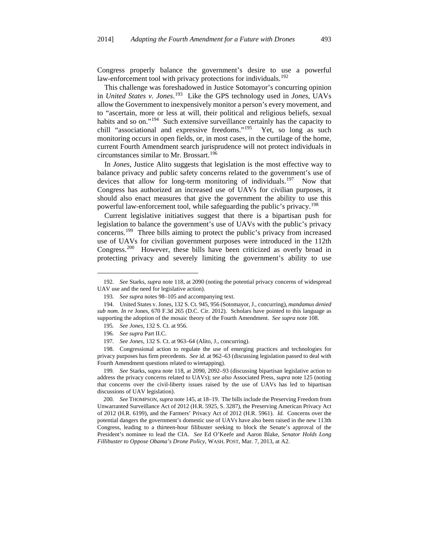Congress properly balance the government's desire to use a powerful law-enforcement tool with privacy protections for individuals.<sup>[192](#page-30-0)</sup>

This challenge was foreshadowed in Justice Sotomayor's concurring opinion in *United States v. Jones*. [193](#page-30-1) Like the GPS technology used in *Jones*, UAVs allow the Government to inexpensively monitor a person's every movement, and to "ascertain, more or less at will, their political and religious beliefs, sexual habits and so on."<sup>194</sup> Such extensive surveillance certainly has the capacity to chill "associational and expressive freedoms."<sup>195</sup> Yet, so long as such monitoring occurs in open fields, or, in most cases, in the curtilage of the home, current Fourth Amendment search jurisprudence will not protect individuals in circumstances similar to Mr. Brossart.<sup>[196](#page-30-4)</sup>

In *Jones*, Justice Alito suggests that legislation is the most effective way to balance privacy and public safety concerns related to the government's use of devices that allow for long-term monitoring of individuals.<sup>197</sup> Now that Congress has authorized an increased use of UAVs for civilian purposes, it should also enact measures that give the government the ability to use this powerful law-enforcement tool, while safeguarding the public's privacy.<sup>[198](#page-30-6)</sup>

Current legislative initiatives suggest that there is a bipartisan push for legislation to balance the government's use of UAVs with the public's privacy concerns.<sup>[199](#page-30-7)</sup> Three bills aiming to protect the public's privacy from increased use of UAVs for civilian government purposes were introduced in the 112th Congress.[200](#page-30-8) However, these bills have been criticized as overly broad in protecting privacy and severely limiting the government's ability to use

<span id="page-30-0"></span><sup>192</sup>*. See* Starks, *supra* note 118, at 2090 (noting the potential privacy concerns of widespread UAV use and the need for legislative action).

<sup>193</sup>*. See supra* notes 98–105 and accompanying text.

<span id="page-30-3"></span><span id="page-30-2"></span><span id="page-30-1"></span><sup>194.</sup> United States v. Jones, 132 S. Ct. 945, 956 (Sotomayor, J., concurring), *mandamus denied sub nom. In re* Jones, 670 F.3d 265 (D.C. Cir. 2012). Scholars have pointed to this language as supporting the adoption of the mosaic theory of the Fourth Amendment. *See supra* note 108.

<sup>195</sup>*. See Jones*, 132 S. Ct. at 956.

<sup>196</sup>*. See supra* Part II.C.

<sup>197</sup>*. See Jones*, 132 S. Ct. at 963–64 (Alito, J., concurring).

<span id="page-30-6"></span><span id="page-30-5"></span><span id="page-30-4"></span><sup>198.</sup> Congressional action to regulate the use of emerging practices and technologies for privacy purposes has firm precedents. *See id.* at 962–63 (discussing legislation passed to deal with Fourth Amendment questions related to wiretapping).

<span id="page-30-7"></span><sup>199</sup>*. See* Starks, supra note 118, at 2090, 2092–93 (discussing bipartisan legislative action to address the privacy concerns related to UAVs); *see also* Associated Press, *supra* note 125 (noting that concerns over the civil-liberty issues raised by the use of UAVs has led to bipartisan discussions of UAV legislation).

<span id="page-30-8"></span><sup>200</sup>*. See* THOMPSON, *supra* note 145, at 18–19. The bills include the Preserving Freedom from Unwarranted Surveillance Act of 2012 (H.R. 5925, S. 3287), the Preserving American Privacy Act of 2012 (H.R. 6199), and the Farmers' Privacy Act of 2012 (H.R. 5961). *Id.* Concerns over the potential dangers the government's domestic use of UAVs have also been raised in the new 113th Congress, leading to a thirteen-hour filibuster seeking to block the Senate's approval of the President's nominee to lead the CIA. *See* Ed O'Keefe and Aaron Blake, *Senator Holds Long Fillibuster to Oppose Obama's Drone Policy*, WASH. POST, Mar. 7, 2013, at A2.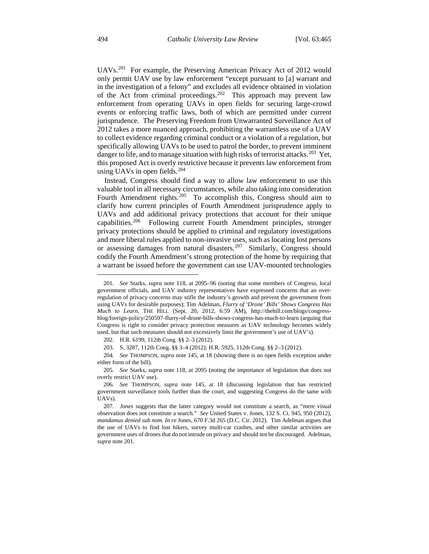UAVs.[201](#page-31-0) For example, the Preserving American Privacy Act of 2012 would only permit UAV use by law enforcement "except pursuant to [a] warrant and in the investigation of a felony" and excludes all evidence obtained in violation of the Act from criminal proceedings.<sup>202</sup> This approach may prevent law enforcement from operating UAVs in open fields for securing large-crowd events or enforcing traffic laws, both of which are permitted under current jurisprudence. The Preserving Freedom from Unwarranted Surveillance Act of 2012 takes a more nuanced approach, prohibiting the warrantless use of a UAV to collect evidence regarding criminal conduct or a violation of a regulation, but specifically allowing UAVs to be used to patrol the border, to prevent imminent danger to life, and to manage situation with high risks of terrorist attacks.<sup>[203](#page-31-2)</sup> Yet, this proposed Act is overly restrictive because it prevents law enforcement from using UAVs in open fields.<sup>[204](#page-31-3)</sup>

Instead, Congress should find a way to allow law enforcement to use this valuable tool in all necessary circumstances, while also taking into consideration Fourth Amendment rights.<sup>[205](#page-31-4)</sup> To accomplish this, Congress should aim to clarify how current principles of Fourth Amendment jurisprudence apply to UAVs and add additional privacy protections that account for their unique capabilities.<sup>206</sup> Following current Fourth Amendment principles, stronger privacy protections should be applied to criminal and regulatory investigations and more liberal rules applied to non-invasive uses, such as locating lost persons or assessing damages from natural disasters.<sup>207</sup> Similarly, Congress should codify the Fourth Amendment's strong protection of the home by requiring that a warrant be issued before the government can use UAV-mounted technologies

<span id="page-31-3"></span><span id="page-31-2"></span><span id="page-31-1"></span>204*. See* THOMPSON, *supra* note 145, at 18 (showing there is no open fields exception under either form of the bill).

<span id="page-31-0"></span><sup>201</sup>*. See* Starks, *supra* note 118, at 2095–96 (noting that some members of Congress, local government officials, and UAV industry representatives have expressed concerns that an overregulation of privacy concerns may stifle the industry's growth and prevent the government from using UAVs for desirable purposes); Tim Adelman, *Flurry of 'Drone' Bills' Shows Congress Has Much to Learn*, THE HILL (Sept. 20, 2012, 6:59 AM), http://thehill.com/blogs/congressblog/foreign-policy/250597-flurry-of-drone-bills-shows-congress-has-much-to-learn (arguing that Congress is right to consider privacy protection measures as UAV technology becomes widely used, but that such measures should not excessively limit the government's use of UAV's).

<sup>202.</sup> H.R. 6199, 112th Cong. §§ 2–3 (2012).

<sup>203.</sup> S. 3287, 112th Cong. §§ 3–4 (2012); H.R. 5925, 112th Cong. §§ 2–3 (2012).

<span id="page-31-4"></span><sup>205</sup>*. See* Starks, *supra* note 118, at 2095 (noting the importance of legislation that does not overly restrict UAV use).

<span id="page-31-5"></span><sup>206</sup>*. See* THOMPSON, *supra* note 145, at 18 (discussing legislation that has restricted government surveillance tools further than the court, and suggesting Congress do the same with UAVs).

<span id="page-31-6"></span><sup>207</sup>*. Jones* suggests that the latter category would not constitute a search, as "mere visual observation does not constitute a search." *See* United States v. Jones, 132 S. Ct. 945, 950 (2012), *mandamus denied sub nom. In re* Jones, 670 F.3d 265 (D.C. Cir. 2012). Tim Adelman argues that the use of UAVs to find lost hikers, survey multi-car crashes, and other similar activities are government uses of drones that do not intrude on privacy and should not be discouraged. Adelman, *supra* note 201.